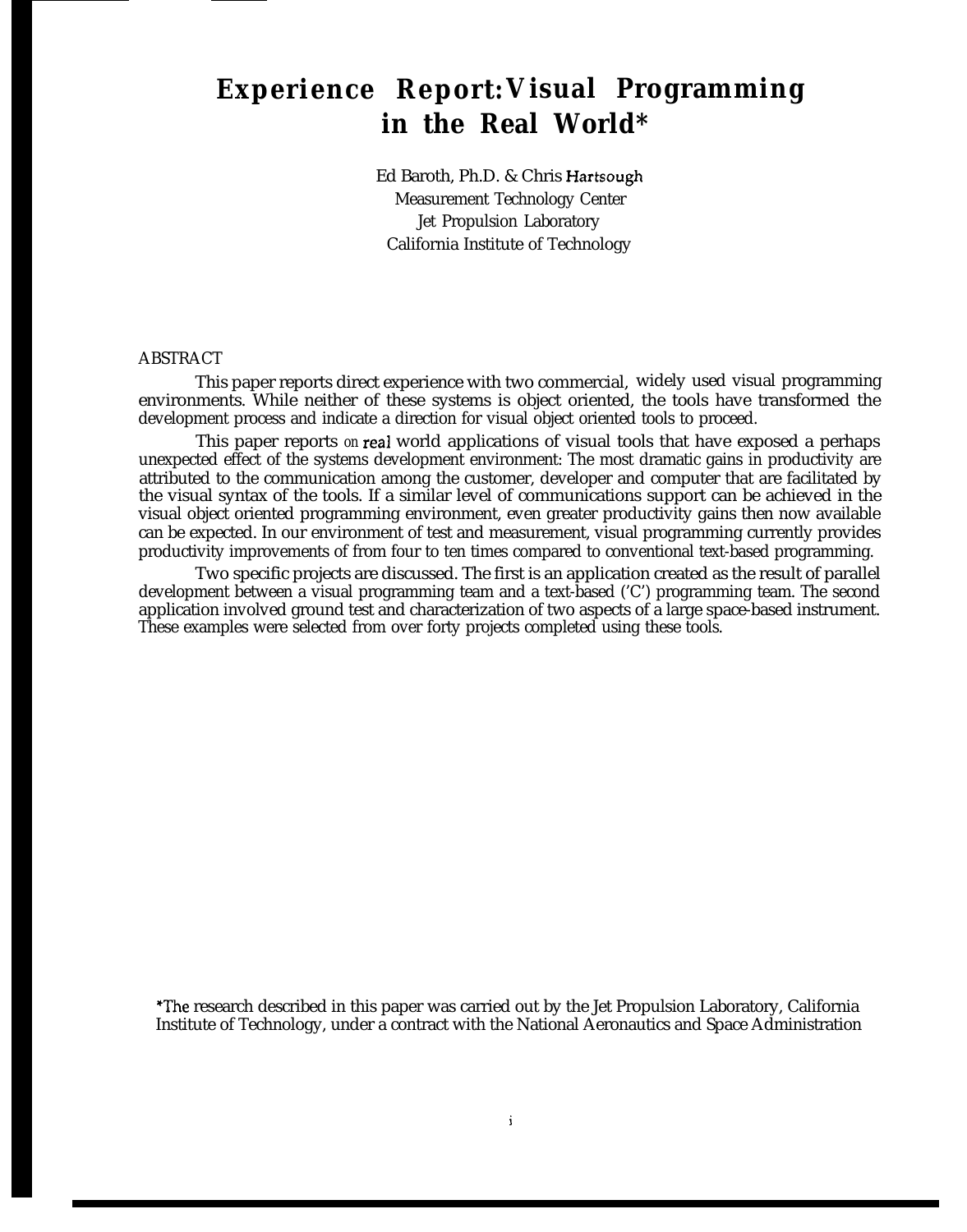# **Experience Report:Visual Programming in the Real World\***

Ed Baroth, Ph.D. & Chris Hartsough Measurement Technology Center Jet Propulsion Laboratory California Institute of Technology

## ABSTRACT

This paper reports direct experience with two commercial, widely used visual programming environments. While neither of these systems is object oriented, the tools have transformed the development process and indicate a direction for visual object oriented tools to proceed.

This paper reports *on* real world applications of visual tools that have exposed a perhaps unexpected effect of the systems development environment: The most dramatic gains in productivity are attributed to the communication among the customer, developer and computer that are facilitated by the visual syntax of the tools. If a similar level of communications support can be achieved in the visual object oriented programming environment, even greater productivity gains then now available can be expected. In our environment of test and measurement, visual programming currently provides productivity improvements of from four to ten times compared to conventional text-based programming.

Two specific projects are discussed. The first is an application created as the result of parallel development between a visual programming team and a text-based ('C') programming team. The second application involved ground test and characterization of two aspects of a large space-based instrument. These examples were selected from over forty projects completed using these tools.

The research described in this paper was carried out by the Jet Propulsion Laboratory, California Institute of Technology, under a contract with the National Aeronautics and Space Administration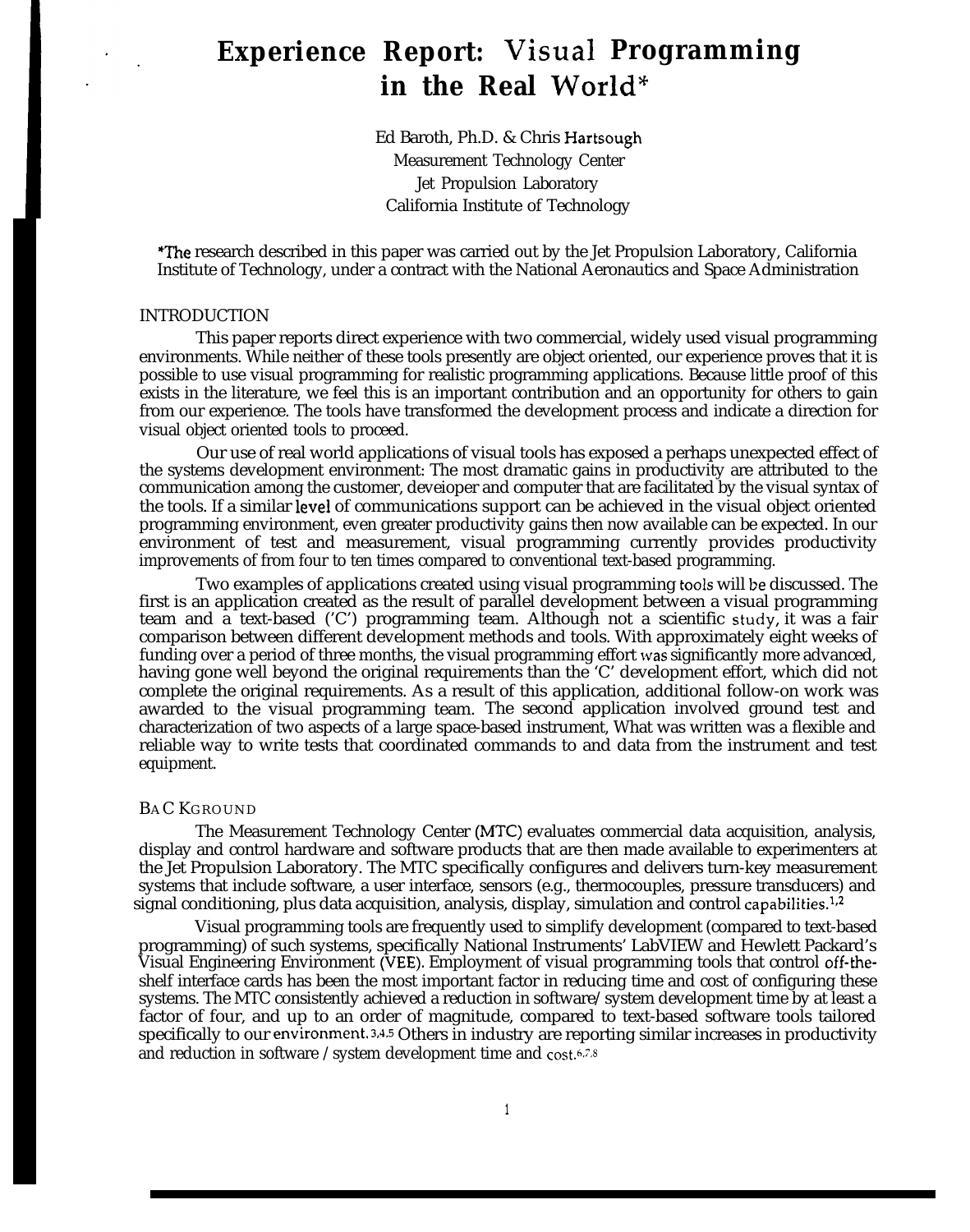# **1- Experience Report: Visual Programming** in the Real World\*

Ed Baroth, Ph.D. & Chris Hartsough Measurement Technology Center Jet Propulsion Laboratory California Institute of Technology

'The research described in this paper was carried out by the Jet Propulsion Laboratory, California Institute of Technology, under a contract with the National Aeronautics and Space Administration

#### INTRODUCTION

**I**

This paper reports direct experience with two commercial, widely used visual programming environments. While neither of these tools presently are object oriented, our experience proves that it is possible to use visual programming for realistic programming applications. Because little proof of this exists in the literature, we feel this is an important contribution and an opportunity for others to gain from our experience. The tools have transformed the development process and indicate a direction for visual object oriented tools to proceed.

Our use of real world applications of visual tools has exposed a perhaps unexpected effect of the systems development environment: The most dramatic gains in productivity are attributed to the communication among the customer, deveioper and computer that are facilitated by the visual syntax of the tools. If a similar level of communications support can be achieved in the visual object oriented programming environment, even greater productivity gains then now available can be expected. In our environment of test and measurement, visual programming currently provides productivity improvements of from four to ten times compared to conventional text-based programming.

Two examples of applications created using visual programming tools will be discussed. The first is an application created as the result of parallel development between a visual programming team and a text-based ('C') programming team. Although not a scientific study, it was a fair comparison between different development methods and tools. With approximately eight weeks of funding over a period of three months, the visual programming effort was significantly more advanced, having gone well beyond the original requirements than the 'C' development effort, which did not complete the original requirements. As a result of this application, additional follow-on work was awarded to the visual programming team. The second application involved ground test and characterization of two aspects of a large space-based instrument, What was written was a flexible and reliable way to write tests that coordinated commands to and data from the instrument and test equipment.

#### BAC KGROUND

The Measurement Technology Center (MTC) evaluates commercial data acquisition, analysis, display and control hardware and software products that are then made available to experimenters at the Jet Propulsion Laboratory. The MTC specifically configures and delivers turn-key measurement systems that include software, a user interface, sensors (e.g., thermocouples, pressure transducers) and signal conditioning, plus data acquisition, analysis, display, simulation and control capabilities.<sup>1,2</sup>

Visual programming tools are frequently used to simplify development (compared to text-based programming) of such systems, specifically National Instruments' LabVIEW and Hewlett Packard's Visual Engineering Environment (VEE). Employment of visual programming tools that control off-theshelf interface cards has been the most important factor in reducing time and cost of configuring these systems. The MTC consistently achieved a reduction in software/system development time by at least a factor of four, and up to an order of magnitude, compared to text-based software tools tailored specifically to our environment. 3,4.5 Others in industry are reporting similar increases in productivity and reduction in software /system development time and  $cost$ .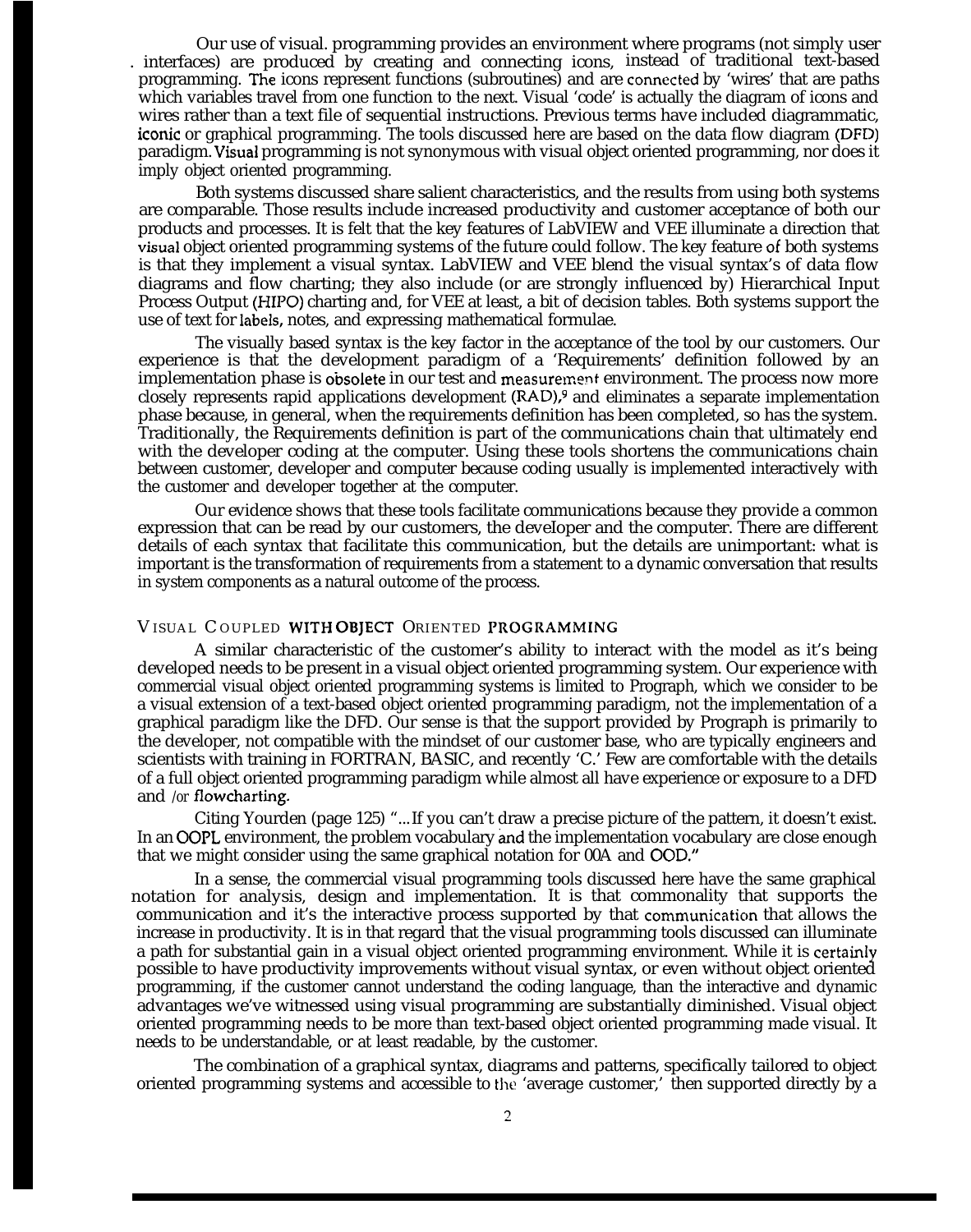Our use of visual. programming provides an environment where programs (not simply user . interfaces) are produced by creating and connecting icons, instead of traditional text-based programming. 'he icons represent functions (subroutines) and are comected by 'wires' that are paths which variables travel from one function to the next. Visual 'code' is actually the diagram of icons and wires rather than a text file of sequential instructions. Previous terms have included diagrammatic, iconic or graphical programming. The tools discussed here are based on the data flow diagram (DFD) paradigm. Visual programming is not synonymous with visual object oriented programming, nor does it imply object oriented programming.

Both systems discussed share salient characteristics, and the results from using both systems are comparable. Those results include increased productivity and customer acceptance of both our products and processes. It is felt that the key features of LabVIEW and VEE illuminate a direction that visual object oriented programming systems of the future could follow. The key feature of both systems is that they implement a visual syntax. LabVIEW and VEE blend the visual syntax's of data flow diagrams and flow charting; they also include (or are strongly influenced by) Hierarchical Input Process Output (HIPO) charting and, for VEE at least, a bit of decision tables. Both systems support the use of text for labels, notes, and expressing mathematical formulae.

The visually based syntax is the key factor in the acceptance of the tool by our customers. Our experience is that the development paradigm of a 'Requirements' definition followed by an implementation phase is obsolete in our test and measurement environment. The process now more closely represents rapid applications development (RAD),9 and eliminates a separate implementation phase because, in general, when the requirements definition has been completed, so has the system. Traditionally, the Requirements definition is part of the communications chain that ultimately end with the developer coding at the computer. Using these tools shortens the communications chain between customer, developer and computer because coding usually is implemented interactively with the customer and developer together at the computer.

Our evidence shows that these tools facilitate communications because they provide a common expression that can be read by our customers, the deveIoper and the computer. There are different details of each syntax that facilitate this communication, but the details are unimportant: what is important is the transformation of requirements from a statement to a dynamic conversation that results in system components as a natural outcome of the process.

## VISUAL COUPLED WITH OBJECT ORIENTED PROGRAMMING

A similar characteristic of the customer's ability to interact with the model as it's being developed needs to be present in a visual object oriented programming system. Our experience with commercial visual object oriented programming systems is limited to Prograph, which we consider to be a visual extension of a text-based object oriented programming paradigm, not the implementation of a graphical paradigm like the DFD. Our sense is that the support provided by Prograph is primarily to the developer, not compatible with the mindset of our customer base, who are typically engineers and scientists with training in FORTRAN, BASIC, and recently 'C.' Few are comfortable with the details of a full object oriented programming paradigm while almost all have experience or exposure to a DFD and */or* flowcharting.

Citing Yourden (page 125) "...If you can't draw a precise picture of the pattern, it doesn't exist. In an OOPL environment, the problem vocabulary and the implementation vocabulary are close enough that we might consider using the same graphical notation for 00A and 00D."

In a sense, the commercial visual programming tools discussed here have the same graphical notation for analysis, design and implementation. It is that commonality that supports the communication and it's the interactive process supported by that communicaticm that allows the increase in productivity. It is in that regard that the visual programming tools discussed can illuminate a path for substantial gain in a visual object oriented programming environment. While it is certairdy possible to have productivity improvements without visual syntax, or even without object oriented programming, if the customer cannot understand the coding language, than the interactive and dynamic advantages we've witnessed using visual programming are substantially diminished. Visual object oriented programming needs to be more than text-based object oriented programming made visual. It needs to be understandable, or at least readable, by the customer.

The combination of a graphical syntax, diagrams and patterns, specifically tailored to object oriented programming systems and accessible to the 'average customer,' then supported directly by a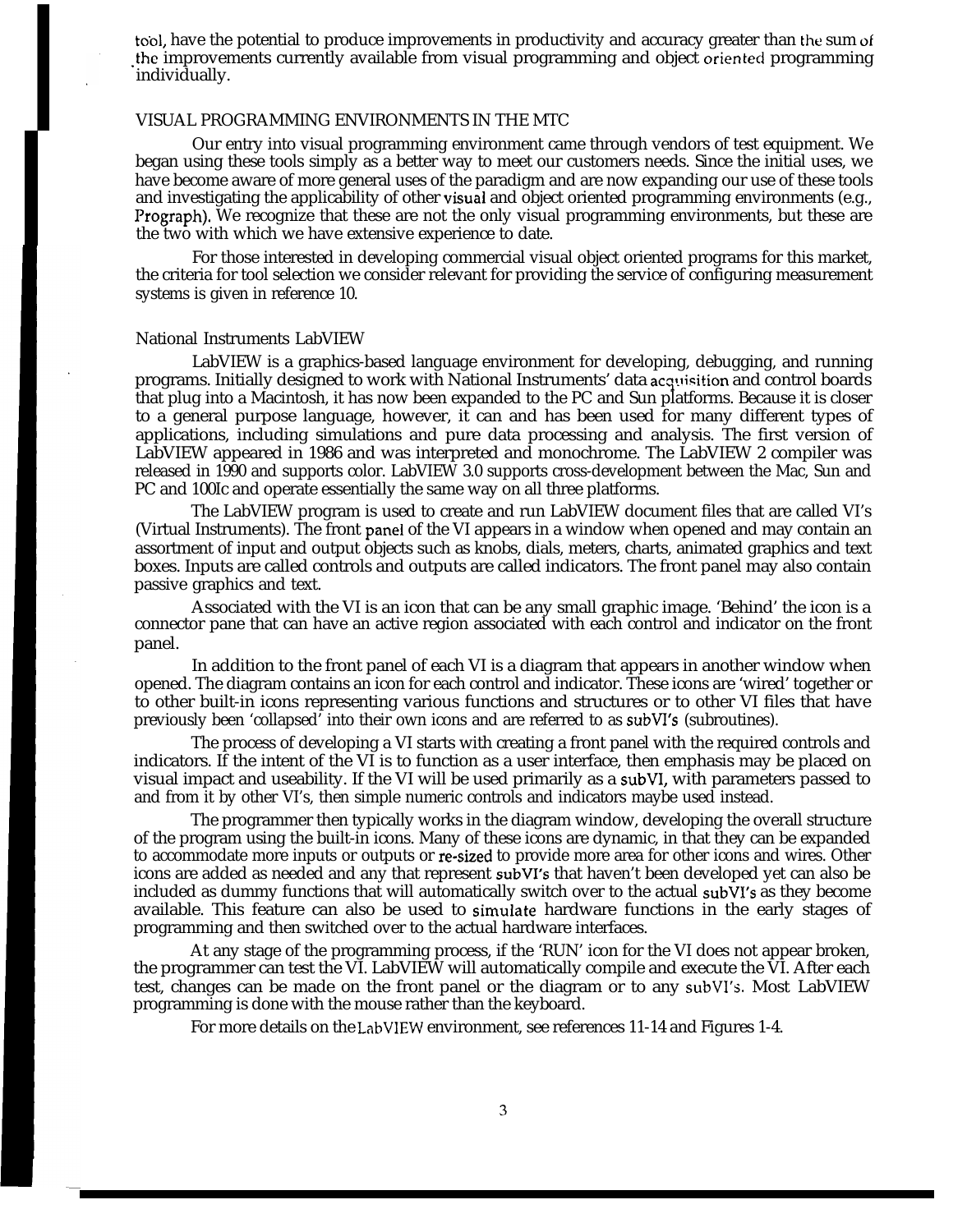tool, have the potential to produce improvements in productivity and accuracy greater than the sum of the improvements currently available from visual programming and object oriented programming individually.

## VISUAL PROGRAMMING ENVIRONMENTS IN THE MTC

Our entry into visual programming environment came through vendors of test equipment. We began using these tools simply as a better way to meet our customers needs. Since the initial uses, we have become aware of more general uses of the paradigm and are now expanding our use of these tools and investigating the applicability of other visuai and object oriented programming environments (e.g., Prograph). We recognize that these are not the only visual programming environments, but these are the two with which we have extensive experience to date.

For those interested in developing commercial visual object oriented programs for this market, the criteria for tool selection we consider relevant for providing the service of configuring measurement systems is given in reference 10.

#### National Instruments LabVIEW

I **'**

LabVIEW is a graphics-based language environment for developing, debugging, and running programs. Initially designed to work with National Instruments' data acquisition and control boards that plug into a Macintosh, it has now been expanded to the PC and Sun platforms. Because it is closer to a general purpose language, however, it can and has been used for many different types of applications, including simulations and pure data processing and analysis. The first version of LabVIEW appeared in 1986 and was interpreted and monochrome. The LabVIEW 2 compiler was released in 1990 and supports color. LabVIEW 3.0 supports cross-development between the Mac, Sun and PC and 100Ic and operate essentially the same way on all three platforms.

The LabVIEW program is used to create and run LabVIEW document files that are called VI's (Virtual Instruments). The front panei of the VI appears in a window when opened and may contain an assortment of input and output objects such as knobs, dials, meters, charts, animated graphics and text boxes. Inputs are called controls and outputs are called indicators. The front panel may also contain passive graphics and text.

Associated with the VI is an icon that can be any small graphic image. 'Behind' the icon is a connector pane that can have an active region associated with each control and indicator on the front panel.

In addition to the front panel of each VI is a diagram that appears in another window when opened. The diagram contains an icon for each control and indicator. These icons are 'wired' together or to other built-in icons representing various functions and structures or to other VI files that have previously been 'collapsed' into their own icons and are referred to as subVI's (subroutines).

The process of developing a VI starts with creating a front panel with the required controls and indicators. If the intent of the VI is to function as a user interface, then emphasis may be placed on visual impact and useability. If the VI will be used primarily as a subVI, with parameters passed to and from it by other VI's, then simple numeric controls and indicators maybe used instead.

The programmer then typically works in the diagram window, developing the overall structure of the program using the built-in icons. Many of these icons are dynamic, in that they can be expanded to accommodate more inputs or outputs or re-sized to provide more area for other icons and wires. Other icons are added as needed and any that represent subVI's that haven't been developed yet can also be included as dummy functions that will automatically switch over to the actual subVI's as they become available. This feature can also be used to simuiate hardware functions in the early stages of programming and then switched over to the actual hardware interfaces.

At any stage of the programming process, if the 'RUN' icon for the VI does not appear broken, the programmer can test the VI. LabVIEW will automatically compile and execute the VI. After each test, changes can be made on the front panel or the diagram or to any subVI's. Most LabVIEW programming is done with the mouse rather than the keyboard.

For more details on the LabVIEW environment, see references 11-14 and Figures 1-4.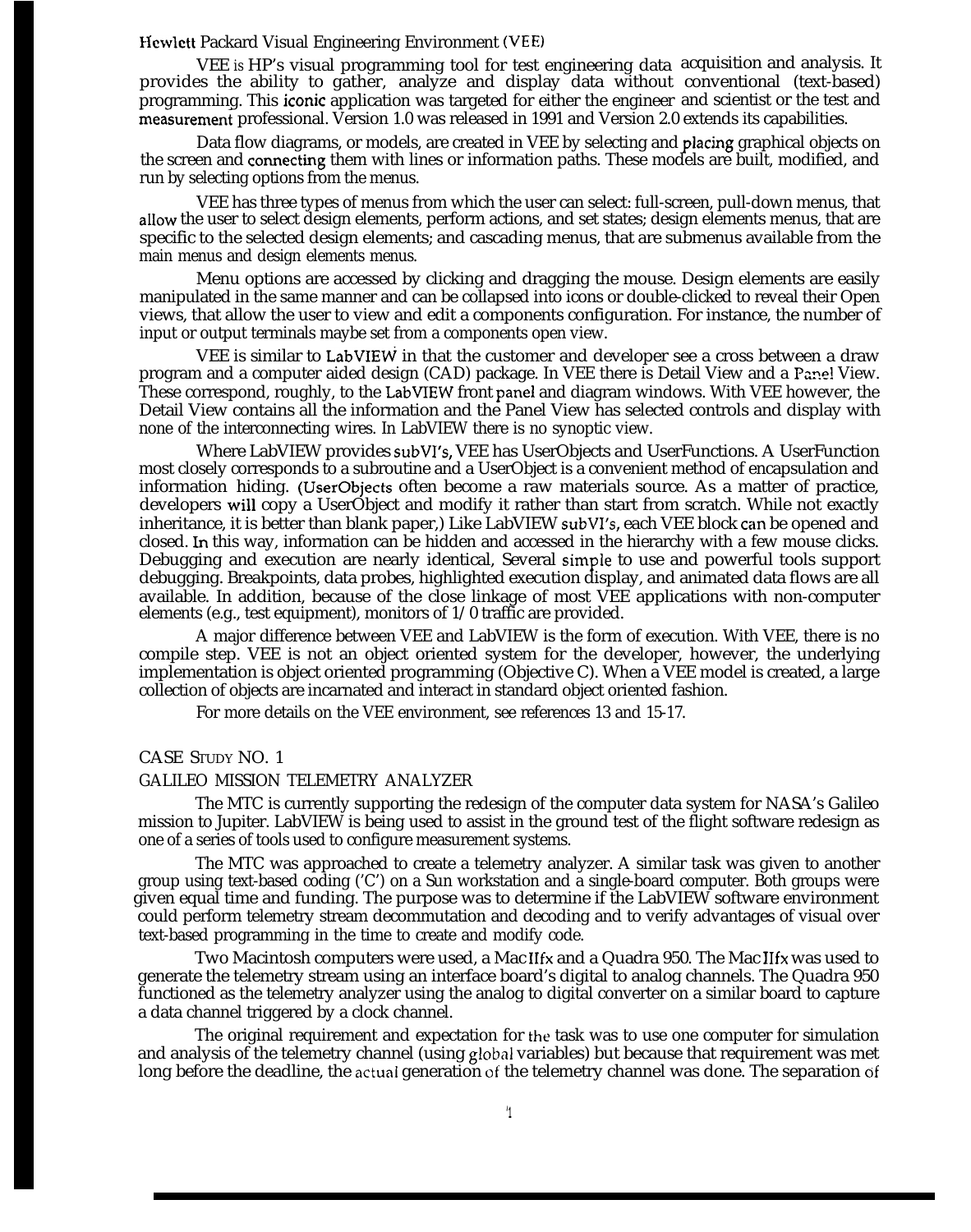## Hewlett Packard Visual Engineering Environment (VEE)

VEE *is* HP's visual programming tool for test engineering data acquisition and analysis. It provides the ability to gather, analyze and display data without conventional (text-based) programming. This iconic application was targeted for either the engineer and scientist or the test and measurement professional. Version 1.0 was released in 1991 and Version 2.0 extends its capabilities.

Data flow diagrams, or models, are created in VEE by selecting and pIacing graphical objects on the screen and comecting them with lines or information paths. These models are built, modified, and run by selecting options from the menus.

VEE has three types of menus from which the user can select: full-screen, pull-down menus, that alIow the user to select design elements, perform actions, and set states; design elements menus, that are specific to the selected design elements; and cascading menus, that are submenus available from the main menus and design elements menus.

Menu options are accessed by clicking and dragging the mouse. Design elements are easily manipulated in the same manner and can be collapsed into icons or double-clicked to reveal their Open views, that allow the user to view and edit a components configuration. For instance, the number of input or output terminals maybe set from a components open view.

VEE is similar to LabVIEW in that the customer and developer see a cross between a draw program and a computer aided design (CAD) package. In VEE there is Detail View and a Pane! View. These correspond, roughly, to the LabVIEW front panel and diagram windows. With VEE however, the Detail View contains all the information and the Panel View has selected controls and display with none of the interconnecting wires. In LabVIEW there is no synoptic view.

Where LabVIEW provides subVI's, VEE has UserObjects and UserFunctions. A UserFunction most closely corresponds to a subroutine and a UserObject is a convenient method of encapsulation and information hiding. (UserObjects often become a raw materials source. As a matter of practice, developers will copy a UserObject and modify it rather than start from scratch. While not exactly inheritance, it is better than blank paper,) Like LabVIEW subVI's, each VEE block can be opened and closed. Ln this way, information can be hidden and accessed in the hierarchy with a few mouse clicks. Debugging and execution are nearly identical, Several simple to use and powerful tools support debugging. Breakpoints, data probes, highlighted execution display, and animated data flows are all available. In addition, because of the close linkage of most VEE applications with non-computer elements (e.g., test equipment), monitors of 1/0 traffic are provided.

A major difference between VEE and LabVIEW is the form of execution. With VEE, there is no compile step. VEE is not an object oriented system for the developer, however, the underlying implementation is object oriented programming (Objective C). When a VEE model is created, a large collection of objects are incarnated and interact in standard object oriented fashion.

For more details on the VEE environment, see references 13 and 15-17.

## CASE STUDY NO. 1

## GALILEO MISSION TELEMETRY ANALYZER

The MTC is currently supporting the redesign of the computer data system for NASA's Galileo mission to Jupiter. LabVIEW is being used to assist in the ground test of the flight software redesign as one of a series of tools used to configure measurement systems.

The MTC was approached to create a telemetry analyzer. A similar task was given to another group using text-based coding ('C') on a Sun workstation and a single-board computer. Both groups were given equal time and funding. The purpose was to determine if the LabVIEW software environment could perform telemetry stream decommutation and decoding and to verify advantages of visual over text-based programming in the time to create and modify code.

Two Macintosh computers were used, a Mac IIfx and a Quadra 950. The Mac IIfx was used to generate the telemetry stream using an interface board's digital to analog channels. The Quadra 950 functioned as the telemetry analyzer using the analog to digital converter on a similar board to capture a data channel triggered by a clock channel.

The original requirement and expectation for the task was to use one computer for simulation and analysis of the telemetry channel (using global variables) but because that requirement was met long before the deadline, the actual generation of the telemetry channel was done. The separation of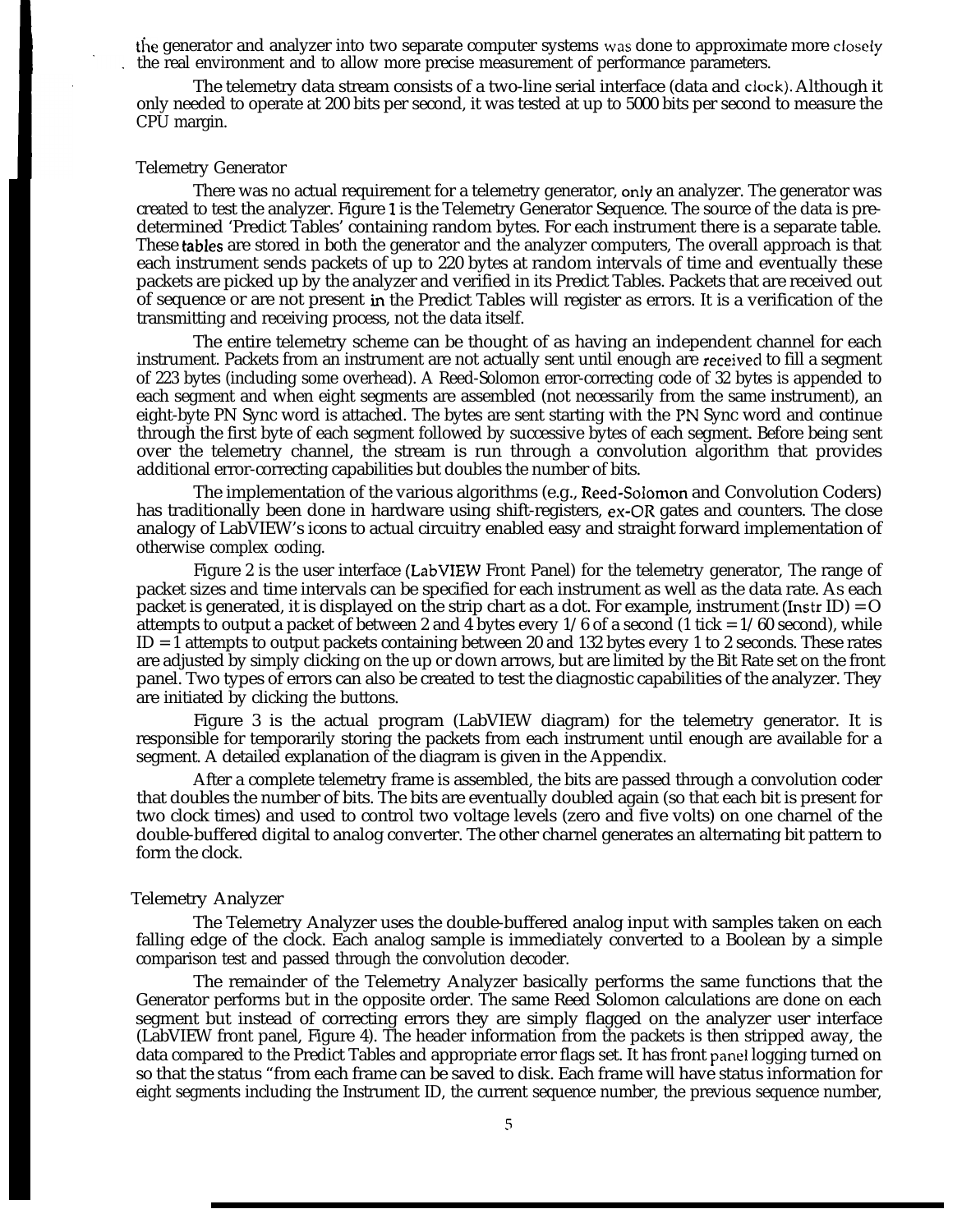In the generator and analyzer into two separate computer systems was done to approximate more closely<br>the real environment and to allow more precise measurement of performance parameters.<br>The telemetry data stream consists the real environment and to allow more precise measurement of performance parameters.

The telemetry data stream consists of a two-line serial interface (data and clock). Although it<br>only needed to operate at 200 bits per second, it was tested at up to 5000 bits per second to measure the<br>CPU margin.<br>Telemetr only needed to operate at 200 bits per second, it was tested at up to 5000 bits per second to measure the CPU margin.

## Telemetry Generator

There was no actual requirement for a telemetry generator, only an analyzer. The generator was created to test the analyzer. Figure 1 is the Telemetry Generator Sequence. The source of the data is predetermined 'Predict Tables' containing random bytes. For each instrument there is a separate table. These tables are stored in both the generator and the analyzer computers, The overall approach is that each instrument sends packets of up to 220 bytes at random intervals of time and eventually these packets are picked up by the analyzer and verified in its Predict Tables. Packets that are received out of sequence or are not present in the Predict Tables will register as errors. It is a verification of the transmitting and receiving process, not the data itself.

The entire telemetry scheme can be thought of as having an independent channel for each instrument. Packets from an instrument are not actually sent until enough are received to fill a segment of 223 bytes (including some overhead). A Reed-Solomon error-correcting code of 32 bytes is appended to each segment and when eight segments are assembled (not necessarily from the same instrument), an eight-byte PN Sync word is attached. The bytes are sent starting with the PN Sync word and continue through the first byte of each segment followed by successive bytes of each segment. Before being sent over the telemetry channel, the stream is run through a convolution algorithm that provides additional error-correcting capabilities but doubles the number of bits.

The implementation of the various algorithms (e.g., Reed-SoIomon and Convolution Coders) has traditionally been done in hardware using shift-registers, ex-OR gates and counters. The close analogy of LabVIEW's icons to actual circuitry enabled easy and straight forward implementation of otherwise complex coding.

Figure 2 is the user interface (LabVIEW Front Panel) for the telemetry generator, The range of packet sizes and time intervals can be specified for each instrument as well as the data rate. As each packet is generated, it is displayed on the strip chart as a dot. For example, instrument (Instr ID) =  $O$ attempts to output a packet of between 2 and 4 bytes every  $1/6$  of a second (1 tick =  $1/60$  second), while ID = 1 attempts to output packets containing between 20 and 132 bytes every 1 to 2 seconds. These rates are adjusted by simply clicking on the up or down arrows, but are limited by the Bit Rate set on the front panel. Two types of errors can also be created to test the diagnostic capabilities of the analyzer. They are initiated by clicking the buttons.

Figure 3 is the actual program (LabVIEW diagram) for the telemetry generator. It is responsible for temporarily storing the packets from each instrument until enough are available for a segment. A detailed explanation of the diagram is given in the Appendix.

After a complete telemetry frame is assembled, the bits are passed through a convolution coder that doubles the number of bits. The bits are eventually doubled again (so that each bit is present for two clock times) and used to control two voltage levels (zero and five volts) on one charnel of the double-buffered digital to analog converter. The other charnel generates an alternating bit pattern to form the clock.

## Telemetry Analyzer

The Telemetry Analyzer uses the double-buffered analog input with samples taken on each falling edge of the clock. Each analog sample is immediately converted to a Boolean by a simple comparison test and passed through the convolution decoder.

The remainder of the Telemetry Analyzer basically performs the same functions that the Generator performs but in the opposite order. The same Reed Solomon calculations are done on each segment but instead of correcting errors they are simply flagged on the analyzer user interface (LabVIEW front panel, Figure 4). The header information from the packets is then stripped away, the data compared to the Predict Tables and appropriate error flags set. It has front panel logging turned on so that the status "from each frame can be saved to disk. Each frame will have status information for eight segments including the Instrument ID, the current sequence number, the previous sequence number,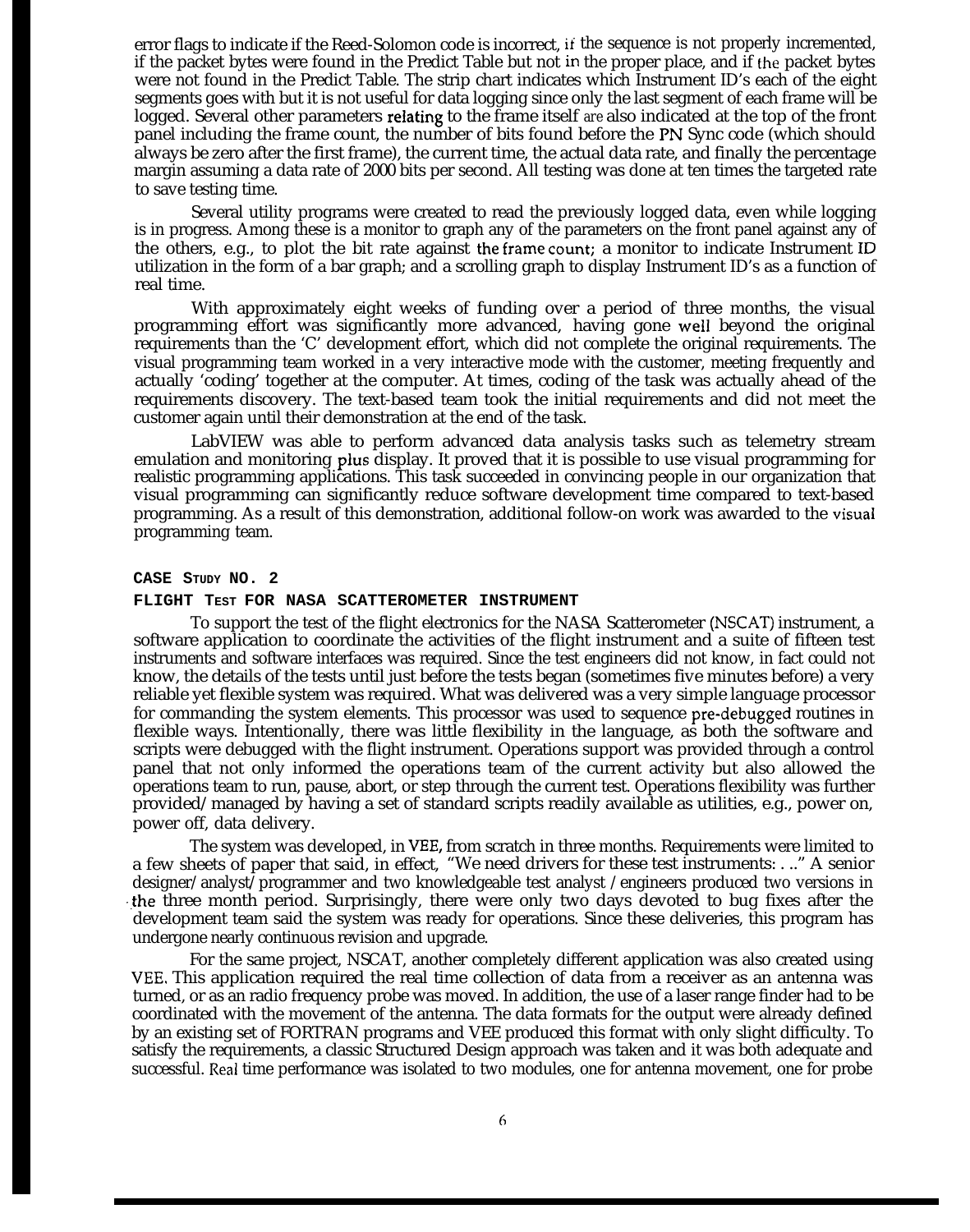error flags to indicate if the Reed-Solomon code is incorrect, if the sequence is not properly incremented, if the packet bytes were found in the Predict Table but not in the proper place, and if the packet bytes were not found in the Predict Table. The strip chart indicates which Instrument ID's each of the eight segments goes with but it is not useful for data logging since only the last segment of each frame will be logged. Several other parameters reIating to the frame itself *are* also indicated at the top of the front panel including the frame count, the number of bits found before the PN Sync code (which should always be zero after the first frame), the current time, the actual data rate, and finally the percentage margin assuming a data rate of 2000 bits per second. All testing was done at ten times the targeted rate to save testing time.

Several utility programs were created to read the previously logged data, even while logging is in progress. Among these is a monitor to graph any of the parameters on the front panel against any of the others, e.g., to plot the bit rate against the frame count; a monitor to indicate Instrument ID utilization in the form of a bar graph; and a scrolling graph to display Instrument ID's as a function of real time.

With approximately eight weeks of funding over a period of three months, the visual programming effort was significantly more advanced, having gone well beyond the original requirements than the 'C' development effort, which did not complete the original requirements. The visual programming team worked in a very interactive mode with the customer, meeting frequently and actually 'coding' together at the computer. At times, coding of the task was actually ahead of the requirements discovery. The text-based team took the initial requirements and did not meet the customer again until their demonstration at the end of the task.

LabVIEW was able to perform advanced data analysis tasks such as telemetry stream emulation and monitoring plus display. It proved that it is possible to use visual programming for realistic programming applications. This task succeeded in convincing people in our organization that visual programming can significantly reduce software development time compared to text-based programming. As a result of this demonstration, additional follow-on work was awarded to the visual programming team.

#### **CASE STUDY NO. 2**

#### **FLIGHT TEST FOR NASA SCATTEROMETER INSTRUMENT**

To support the test of the flight electronics for the NASA Scatterometer (NSCAT) instrument, a software application to coordinate the activities of the flight instrument and a suite of fifteen test instruments and software interfaces was required. Since the test engineers did not know, in fact could not know, the details of the tests until just before the tests began (sometimes five minutes before) a very reliable yet flexible system was required. What was delivered was a very simple language processor for commanding the system elements. This processor was used to sequence pre-debugged routines in flexible ways. Intentionally, there was little flexibility in the language, as both the software and scripts were debugged with the flight instrument. Operations support was provided through a control panel that not only informed the operations team of the current activity but also allowed the operations team to run, pause, abort, or step through the current test. Operations flexibility was further provided/managed by having a set of standard scripts readily available as utilities, e.g., power on, power off, data delivery.

The system was developed, in VEE, from scratch in three months. Requirements were limited to a few sheets of paper that said, in effect, "We need drivers for these test instruments: . .." A senior designer/analyst/programmer and two knowledgeable test analyst /engineers produced two versions in the three month period. Surprisingly, there were only two days devoted to bug fixes after the development team said the system was ready for operations. Since these deliveries, this program has undergone nearly continuous revision and upgrade.

For the same project, NSCAT, another completely different application was also created using VEE, This application required the real time collection of data from a receiver as an antenna was turned, or as an radio frequency probe was moved. In addition, the use of a laser range finder had to be coordinated with the movement of the antenna. The data formats for the output were already defined by an existing set of FORTRAN programs and VEE produced this format with only slight difficulty. To satisfy the requirements, a classic Structured Design approach was taken and it was both adequate and successful. Real time performance was isolated to two modules, one for antenna movement, one for probe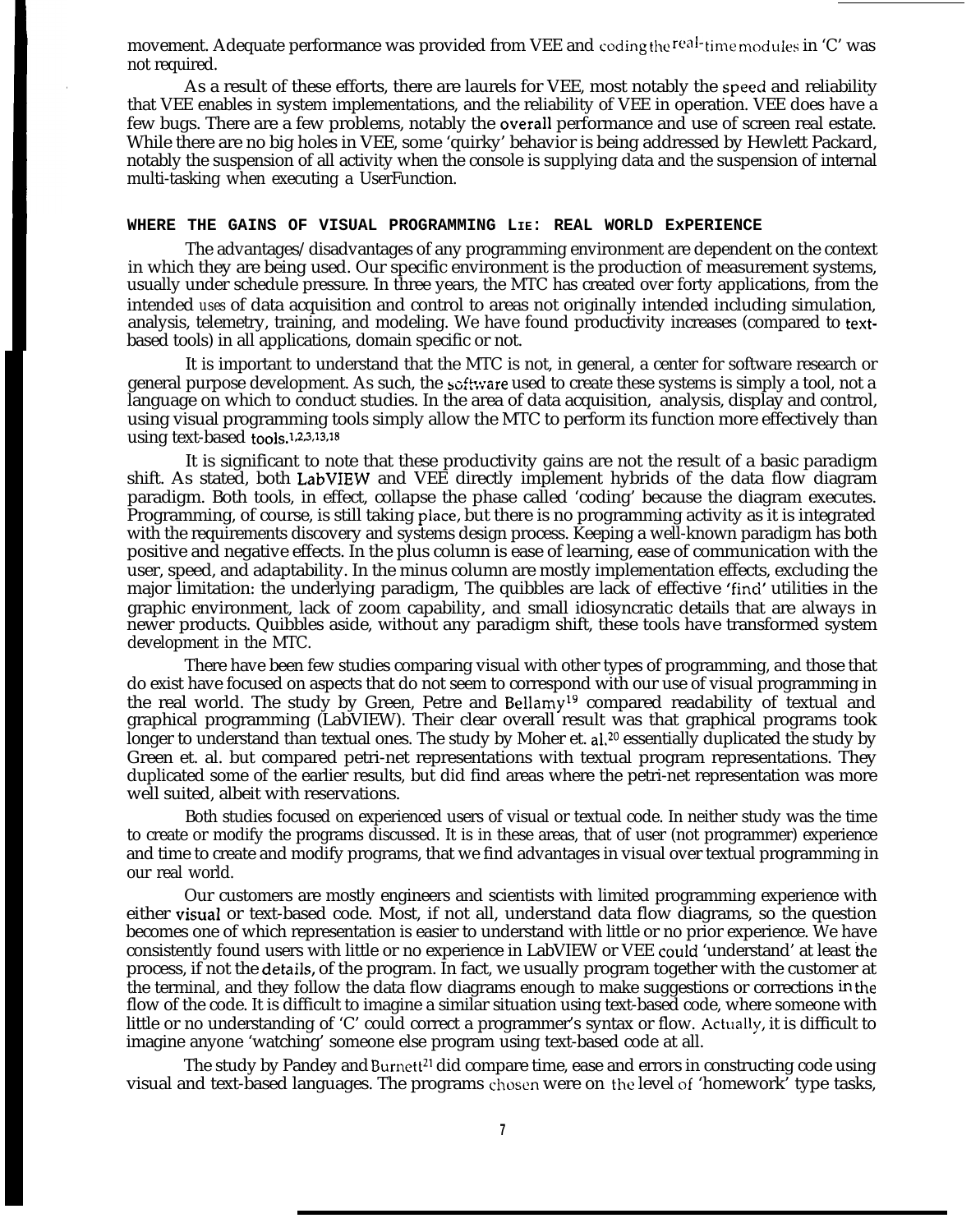movement. Adequate performance was provided from VEE and coding the real-time modules in 'C' was not required.

As a result of these efforts, there are laurels for VEE, most notably the speeci and reliability that VEE enables in system implementations, and the reliability of VEE in operation. VEE does have a few bugs. There are a few problems, notably the overaIl performance and use of screen real estate. While there are no big holes in VEE, some 'quirky' behavior is being addressed by Hewlett Packard, notably the suspension of all activity when the console is supplying data and the suspension of internal multi-tasking when executing a UserFunction.

#### **WHERE THE GAINS OF VISUAL PROGRAMMING LIE: REAL WORLD ExPERIENCE**

**I**

The advantages/disadvantages of any programming environment are dependent on the context in which they are being used. Our specific environment is the production of measurement systems, usually under schedule pressure. In three years, the MTC has created over forty applications, from the intended *uses* of data acquisition and control to areas not originally intended including simulation, analysis, telemetry, training, and modeling. We have found productivity increases (compared to textbased tools) in all applications, domain specific or not.

It is important to understand that the MTC is not, in general, a center for software research or general purpose development. As such, the software used to create these systems is simply a tool, not a language on which to conduct studies. In the area of data acquisition, analysis, display and control, using visual programming tools simply allow the MTC to perform its function more effectively than using text-based tools.<sup>1,2,3,13,18</sup>

It is significant to note that these productivity gains are not the result of a basic paradigm shift. As stated, both LabVIEW and VEE directly implement hybrids of the data flow diagram paradigm. Both tools, in effect, collapse the phase called 'coding' because the diagram executes. Programming, of course, is still taking place, but there is no programming activity as it is integrated with the requirements discovery and systems design process. Keeping a well-known paradigm has both positive and negative effects. In the plus column is ease of learning, ease of communication with the user, speed, and adaptability. In the minus column are mostly implementation effects, excluding the major limitation: the underlying paradigm, The quibbles are lack of effective 'find' utilities in the graphic environment, lack of zoom capability, and small idiosyncratic details that are always in newer products. Quibbles aside, without any paradigm shift, these tools have transformed system development in the MTC.

There have been few studies comparing visual with other types of programming, and those that do exist have focused on aspects that do not seem to correspond with our use of visual programming in the real world. The study by Green, Petre and Bellamy<sup>19</sup> compared readability of textual and graphical programming (LabVIEW). Their clear overall result was that graphical programs took longer to understand than textual ones. The study by Moher et. al.<sup>20</sup> essentially duplicated the study by Green et. al. but compared petri-net representations with textual program representations. They duplicated some of the earlier results, but did find areas where the petri-net representation was more well suited, albeit with reservations.

Both studies focused on experienced users of visual or textual code. In neither study was the time to create or modify the programs discussed. It is in these areas, that of user (not programmer) experience and time to create and modify programs, that we find advantages in visual over textual programming in our real world.

Our customers are mostly engineers and scientists with limited programming experience with either visuaI or text-based code. Most, if not all, understand data flow diagrams, so the question becomes one of which representation is easier to understand with little or no prior experience. We have consistently found users with little or no experience in LabVIEW or VEE could 'understand' at least the process, if not the detaiIs, of the program. In fact, we usually program together with the customer at the terminal, and they follow the data flow diagrams enough to make suggestions or corrections in the flow of the code. It is difficult to imagine a similar situation using text-based code, where someone with little or no understanding of 'C' could correct a programmer's syntax or flow. Actually, it is difficult to imagine anyone 'watching' someone else program using text-based code at all.

The study by Pandey and Burnett<sup>21</sup> did compare time, ease and errors in constructing code using visual and text-based languages. The programs chosen were on the level of 'homework' type tasks,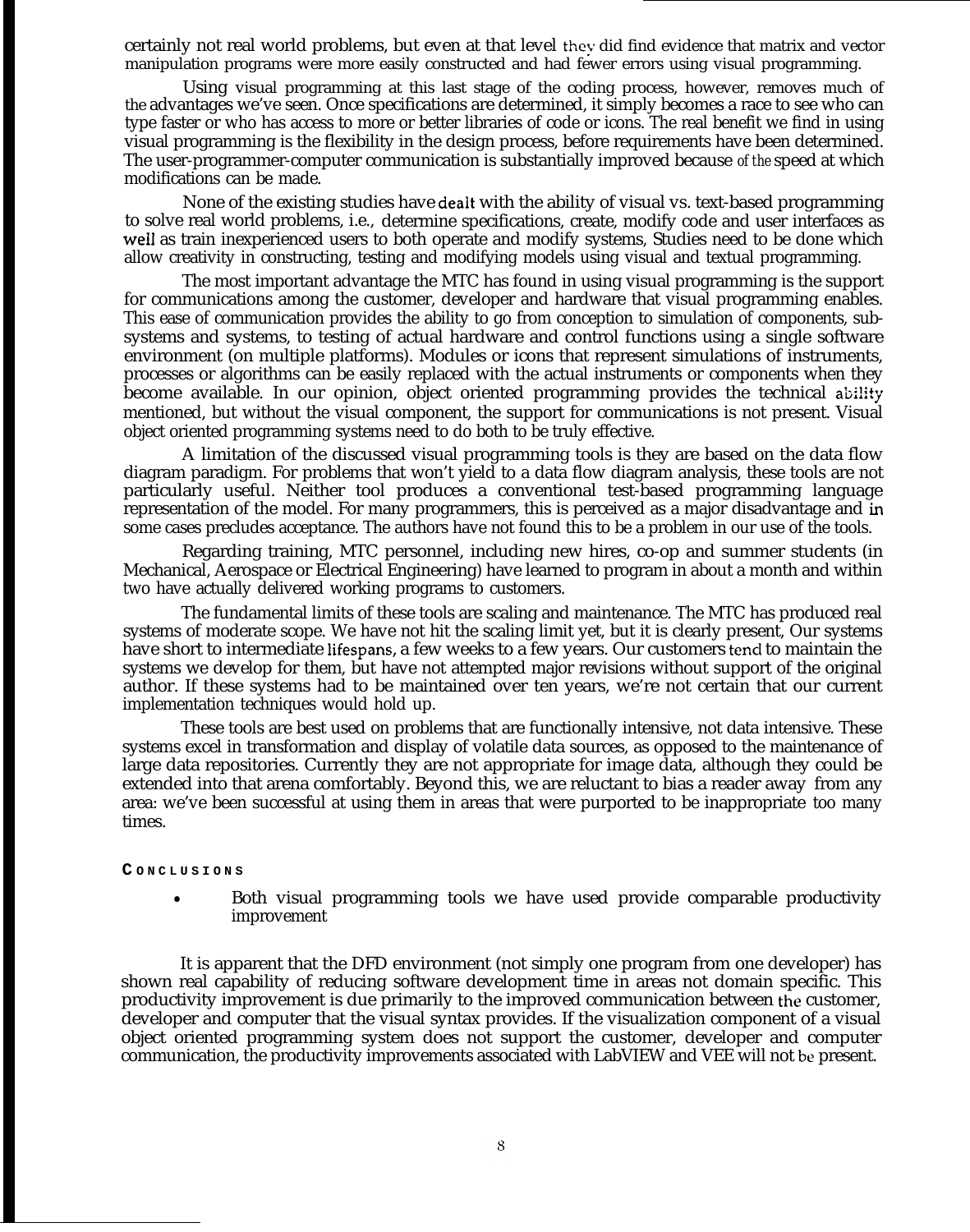certainly not real world problems, but even at that level they did find evidence that matrix and vector manipulation programs were more easily constructed and had fewer errors using visual programming.

Using visual programming at this last stage of the coding process, however, removes much of the advantages we've seen. Once specifications are determined, it simply becomes a race to see who can type faster or who has access to more or better libraries of code or icons. The real benefit we find in using visual programming is the flexibility in the design process, before requirements have been determined. The user-programmer-computer communication is substantially improved because *of the* speed at which modifications can be made.

None of the existing studies have dealt with the ability of visual vs. text-based programming to solve real world problems, i.e., determine specifications, create, modify code and user interfaces as welI as train inexperienced users to both operate and modify systems, Studies need to be done which allow creativity in constructing, testing and modifying models using visual and textual programming.

The most important advantage the MTC has found in using visual programming is the support for communications among the customer, developer and hardware that visual programming enables. This ease of communication provides the ability to go from conception to simulation of components, subsystems and systems, to testing of actual hardware and control functions using a single software environment (on multiple platforms). Modules or icons that represent simulations of instruments, processes or algorithms can be easily replaced with the actual instruments or components when they become available. In our opinion, object oriented programming provides the technical ability mentioned, but without the visual component, the support for communications is not present. Visual object oriented programming systems need to do both to be truly effective.

A limitation of the discussed visual programming tools is they are based on the data flow diagram paradigm. For problems that won't yield to a data flow diagram analysis, these tools are not particularly useful. Neither tool produces a conventional test-based programming language representation of the model. For many programmers, this is perceived as a major disadvantage and in some cases precludes acceptance. The authors have not found this to be a problem in our use of the tools.

Regarding training, MTC personnel, including new hires, co-op and summer students (in Mechanical, Aerospace or Electrical Engineering) have learned to program in about a month and within two have actually delivered working programs to customers.

The fundamental limits of these tools are scaling and maintenance. The MTC has produced real systems of moderate scope. We have not hit the scaling limit yet, but it is clearly present, Our systems have short to intermediate lifespans, a few weeks to a few years. Our customers tend to maintain the systems we develop for them, but have not attempted major revisions without support of the original author. If these systems had to be maintained over ten years, we're not certain that our current implementation techniques would hold up.

These tools are best used on problems that are functionally intensive, not data intensive. These systems excel in transformation and display of volatile data sources, as opposed to the maintenance of large data repositories. Currently they are not appropriate for image data, although they could be extended into that arena comfortably. Beyond this, we are reluctant to bias a reader away from any area: we've been successful at using them in areas that were purported to be inappropriate too many times.

#### **C ONCLUSION S**

• Both visual programming tools we have used provide comparable productivity improvement

It is apparent that the DFD environment (not simply one program from one developer) has shown real capability of reducing software development time in areas not domain specific. This productivity improvement is due primarily to the improved communication between the customer, developer and computer that the visual syntax provides. If the visualization component of a visual object oriented programming system does not support the customer, developer and computer communication, the productivity improvements associated with LabVIEW and VEE will not be present.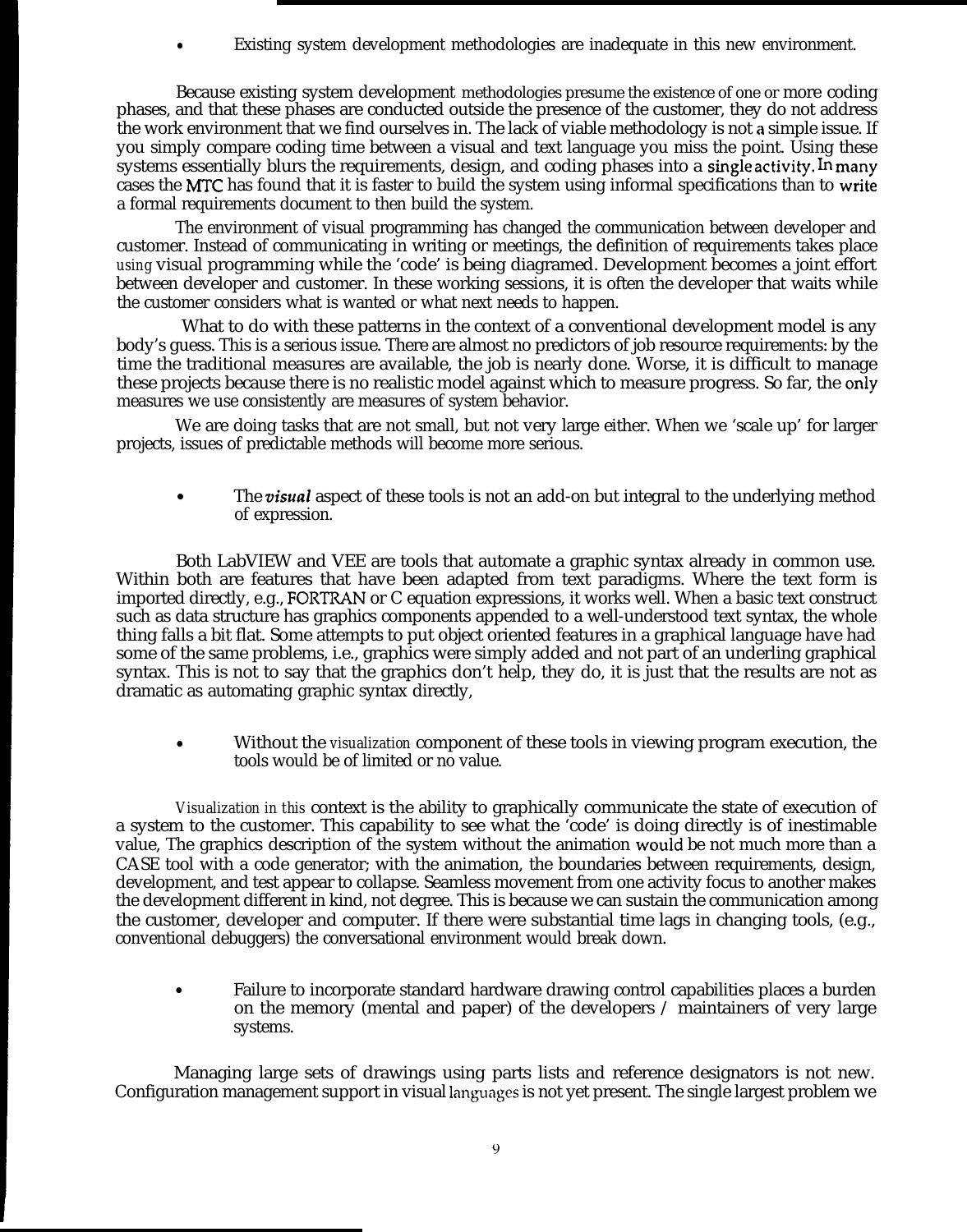Existing system development methodologies are inadequate in this new environment.

Because existing system development methodologies presume the existence of one or more coding phases, and that these phases are conducted outside the presence of the customer, they do not address the work environment that we find ourselves in. The lack of viable methodology is not a simple issue. If you simply compare coding time between a visual and text language you miss the point. Using these systems essentially blurs the requirements, design, and coding phases into a single activity. In many cases the MTC has found that it is faster to build the system using informal specifications than to write a formal requirements document to then build the system.

The environment of visual programming has changed the communication between developer and customer. Instead of communicating in writing or meetings, the definition of requirements takes place *using* visual programming while the 'code' is being diagramed. Development becomes a joint effort between developer and customer. In these working sessions, it is often the developer that waits while the customer considers what is wanted or what next needs to happen.

What to do with these patterns in the context of a conventional development model is any body's guess. This is a serious issue. There are almost no predictors of job resource requirements: by the time the traditional measures are available, the job is nearly done. Worse, it is difficult to manage these projects because there is no realistic model against which to measure progress. So far, the only measures we use consistently are measures of system behavior.

We are doing tasks that are not small, but not very large either. When we 'scale up' for larger projects, issues of predictable methods will become more serious.

The *visual* aspect of these tools is not an add-on but integral to the underlying method of expression.

Both LabVIEW and VEE are tools that automate a graphic syntax already in common use. Within both are features that have been adapted from text paradigms. Where the text form is imported directly, e.g., FORTR4N or C equation expressions, it works well. When a basic text construct such as data structure has graphics components appended to a well-understood text syntax, the whole thing falls a bit flat. Some attempts to put object oriented features in a graphical language have had some of the same problems, i.e., graphics were simply added and not part of an underling graphical syntax. This is not to say that the graphics don't help, they do, it is just that the results are not as dramatic as automating graphic syntax directly,

● Without the *visualization* component of these tools in viewing program execution, the tools would be of limited or no value.

*Visualization in this* context is the ability to graphically communicate the state of execution of a system to the customer. This capability to see what the 'code' is doing directly is of inestimable value, The graphics description of the system without the animation would be not much more than a CASE tool with a code generator; with the animation, the boundaries between requirements, design, development, and test appear to collapse. Seamless movement from one activity focus to another makes the development different in kind, not degree. This is because we can sustain the communication among the customer, developer and computer. If there were substantial time lags in changing tools, (e.g., conventional debuggers) the conversational environment would break down.

Failure to incorporate standard hardware drawing control capabilities places a burden on the memory (mental and paper) of the developers  $\ell$  maintainers of very large systems.

Managing large sets of drawings using parts lists and reference designators is not new. Configuration management support in visual languages is not yet present. The single largest problem we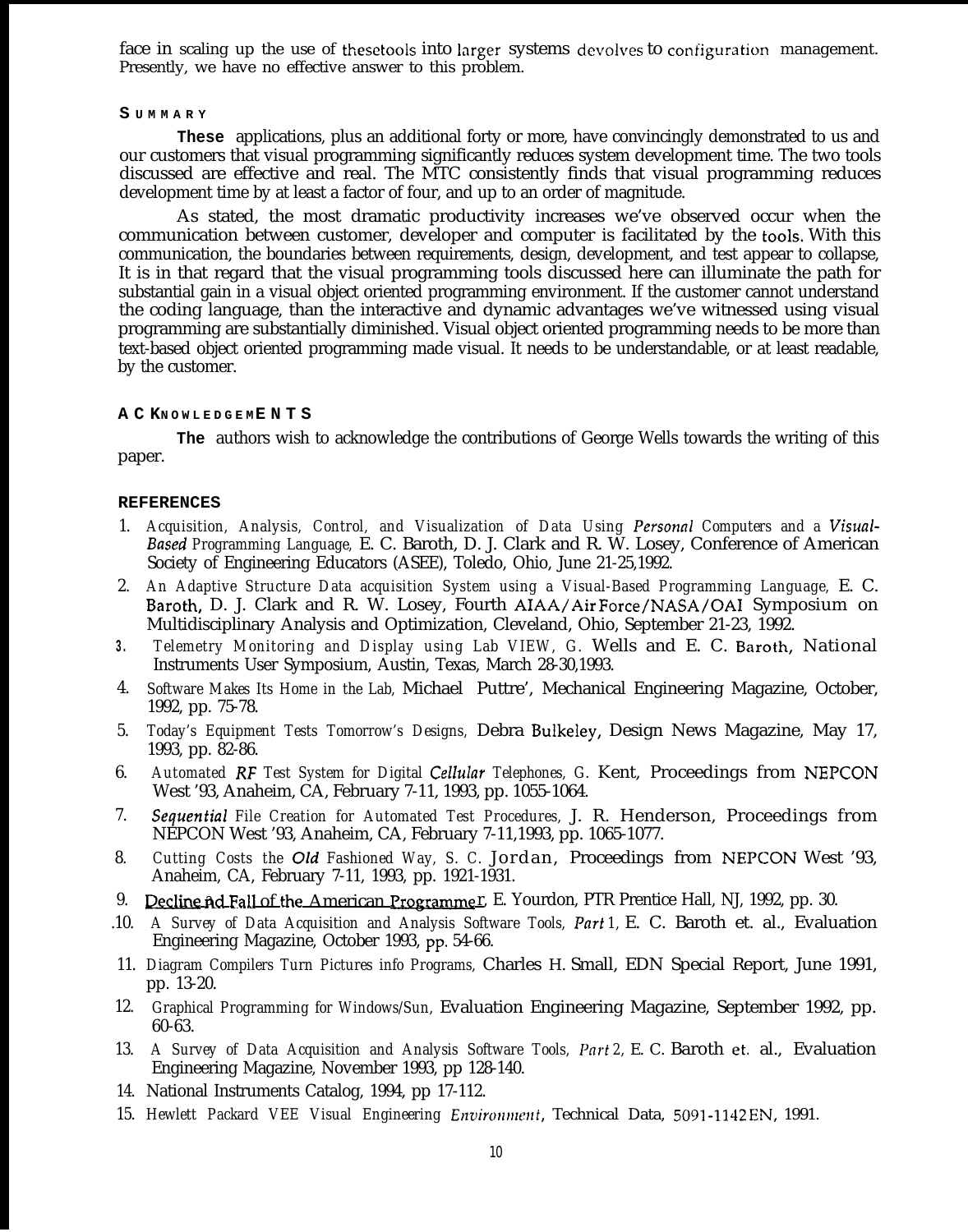face in scaling up the use of thesetools into larger systems devolves to configuration management. Presently, we have no effective answer to this problem.

#### **S UMMAR Y**

**These** applications, plus an additional forty or more, have convincingly demonstrated to us and our customers that visual programming significantly reduces system development time. The two tools discussed are effective and real. The MTC consistently finds that visual programming reduces development time by at least a factor of four, and up to an order of magnitude.

As stated, the most dramatic productivity increases we've observed occur when the communication between customer, developer and computer is facilitated by the tools. With this communication, the boundaries between requirements, design, development, and test appear to collapse, It is in that regard that the visual programming tools discussed here can illuminate the path for substantial gain in a visual object oriented programming environment. If the customer cannot understand the coding language, than the interactive and dynamic advantages we've witnessed using visual programming are substantially diminished. Visual object oriented programming needs to be more than text-based object oriented programming made visual. It needs to be understandable, or at least readable, by the customer.

## **A C KNOWLEDGE M ENT S**

**The** authors wish to acknowledge the contributions of George Wells towards the writing of this paper.

## **REFERENCES**

- 1. *Acquisition, Analysis, Control, and Visualization of Data Using Personnl Computers and a Visual-Based Programming Language,* E. C. Baroth, D. J. Clark and R. W. Losey, Conference of American Society of Engineering Educators (ASEE), Toledo, Ohio, June 21-25,1992.
- 2. *An Adaptive Structure Data acquisition System using a Visual-Based Programming Language,* E. C. Baroth, D. J. Clark and R. W. Losey, Fourth AIAA/Air Force/NASA/OAI Symposium on Multidisciplinary Analysis and Optimization, Cleveland, Ohio, September 21-23, 1992.
- **3.** *Telemetry Monitoring and Display using Lab VIEW, G.* Wells and E. C. Baroth, National Instruments User Symposium, Austin, Texas, March 28-30,1993.
- 4. *Software Makes Its Home in the Lab,* Michael Puttre', Mechanical Engineering Magazine, October, 1992, pp. 75-78.
- 5. *Today's Equipment Tests Tomorrow's Designs,* Debra Bulkeley, Design News Magazine, May 17, 1993, pp. 82-86.
- 6. *Automated RF Test System for Digital Cellular Telephones, G.* Kent, Proceedings from NEPCON West '93, Anaheim, CA, February 7-11, 1993, pp. 1055-1064.
- 7. *Sequentia~ File Creation for Automated Test Procedures,* J. R. Henderson, Proceedings from NEPCON West '93, Anaheim, CA, February 7-11,1993, pp. 1065-1077.
- 8. *Cutting Costs the Old Fashioned Way, S. C.* Jordan, Proceedings from NEPCON West '93, Anaheim, CA, February 7-11, 1993, pp. 1921-1931.
- 9. Decline nd Fall of the American Programmer. E. Yourdon, PTR Prentice Hall, NJ, 1992, pp. 30.
- .10. *A Survey of Data Acquisition and Analysis Software Tools, Part 1,* E. C. Baroth et. al., Evaluation Engineering Magazine, October 1993, pp. 54-66.
- 11. *Diagram Compilers Turn Pictures info Programs,* Charles H. Small, EDN Special Report, June 1991, pp. 13-20.
- 12. *Graphical Programming for Windows/Sun,* Evaluation Engineering Magazine, September 1992, pp. 60-63.
- 13. *A Survey of Data Acquisition and Analysis Software Tools, Pnrt 2,* E. C. Baroth et, al., Evaluation Engineering Magazine, November 1993, pp 128-140.
- 14. National Instruments Catalog, 1994, pp 17-112.
- 15. *Hewlett Packard VEE Visual Engineering Ellvironnltvrt,* Technical Data, 5091 -1142 EN, 1991.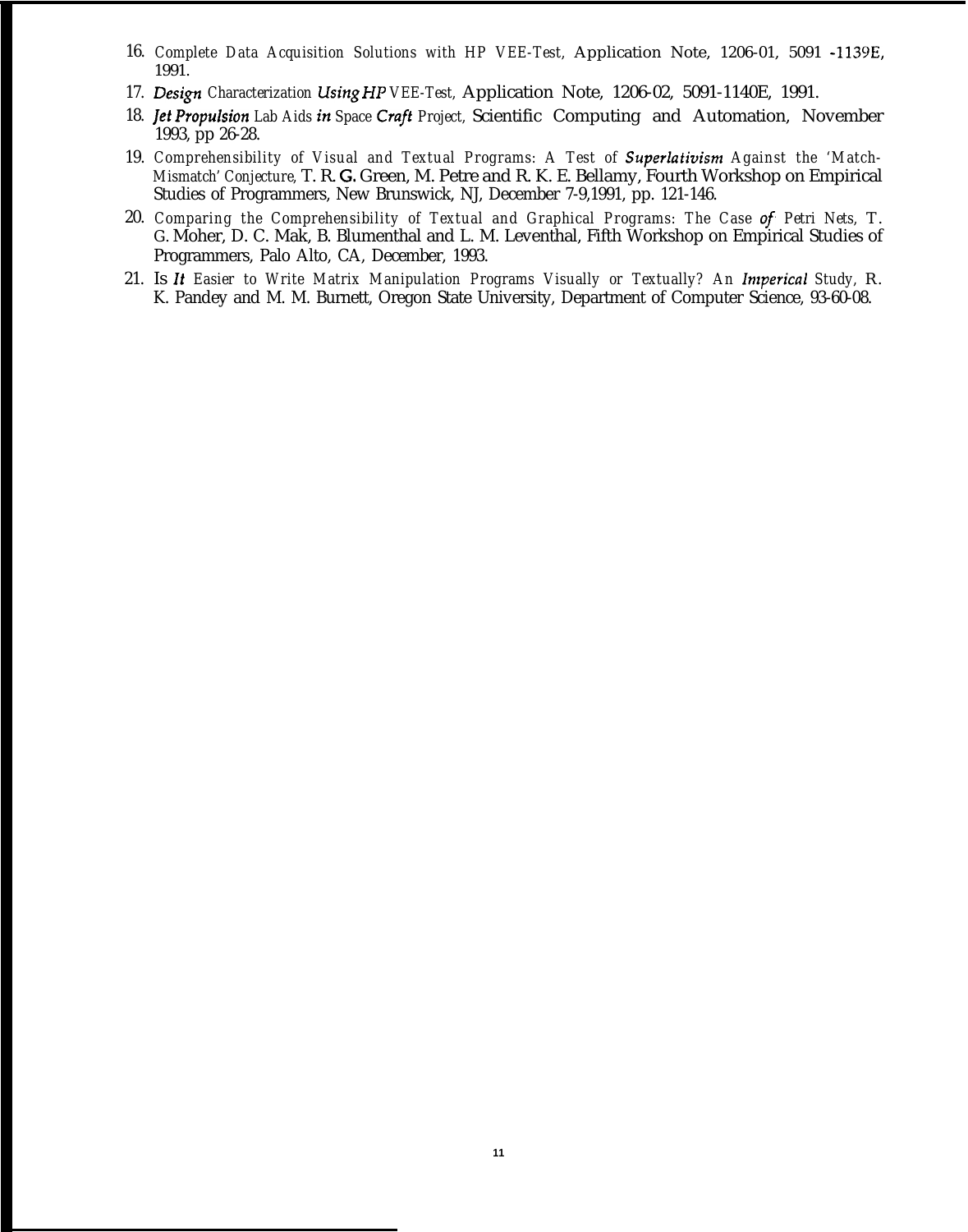- 16. *Complete Data Acquisition Solutions with HP VEE-Test,* Application Note, 1206-01, 5091 -1139E, 1991.
- 17. Design Characterization *Using HP VEE-Test*, Application Note, 1206-02, 5091-1140E, 1991.
- 18. *Jet Propulsion Lab Aids in Space Craft Project, Scientific Computing and Automation, November* 1993, pp 26-28.
- 19. *Comprehensibility of Visual and Textual Programs: A Test of Superlativism Against the 'Match-Mismatch' Conjecture,* T. R. G. Green, M. Petre and R. K. E. Bellamy, Fourth Workshop on Empirical Studies of Programmers, New Brunswick, NJ, December 7-9,1991, pp. 121-146.
- 20. *Comparing the Comprehensibility of Textual and Graphical Programs: The Case of Petri Nets,* T. G. Moher, D. C. Mak, B. Blumenthal and L. M. Leventhal, Fifth Workshop on Empirical Studies of Programmers, Palo Alto, CA, December, 1993.
- 21. Is It *Easier to Write Matrix Manipulation Programs Visually or Textually? An Imperical Study,* R. K. Pandey and M. M. Burnett, Oregon State University, Department of Computer Science, 93-60-08.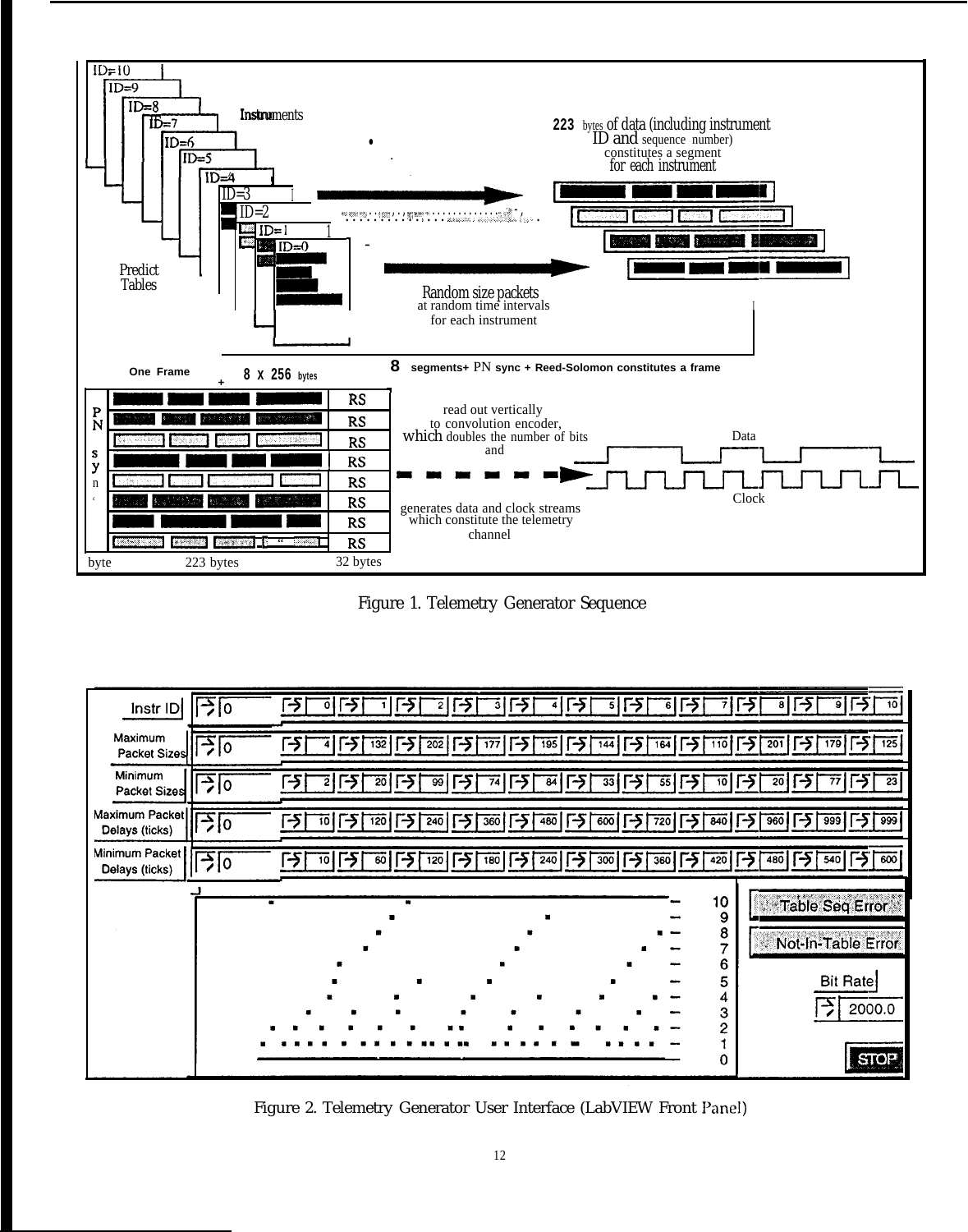

Figure 1. Telemetry Generator Sequence



Figure 2. Telemetry Generator User Interface (LabVIEW Front Panel)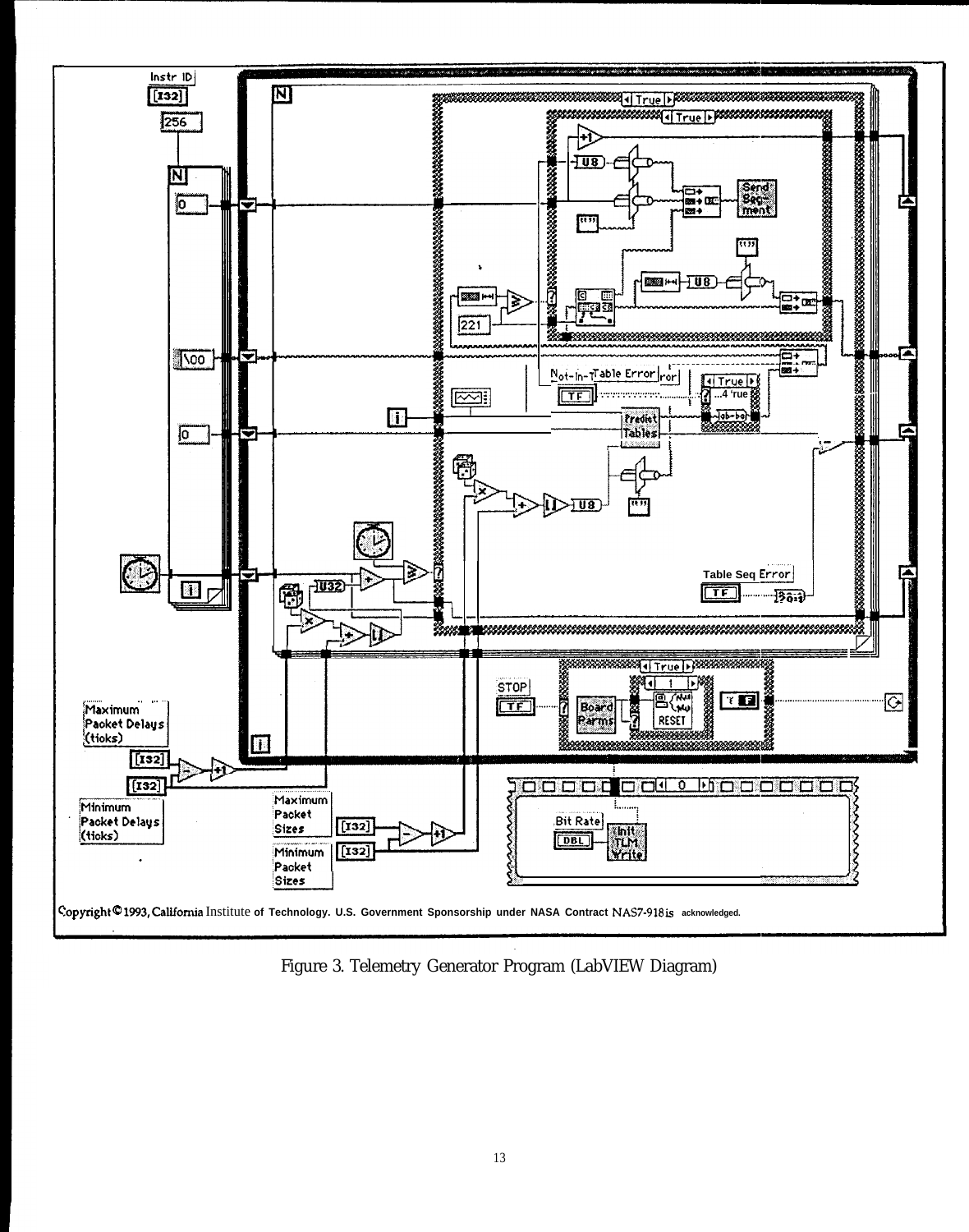

Figure 3. Telemetry Generator Program (LabVIEW Diagram)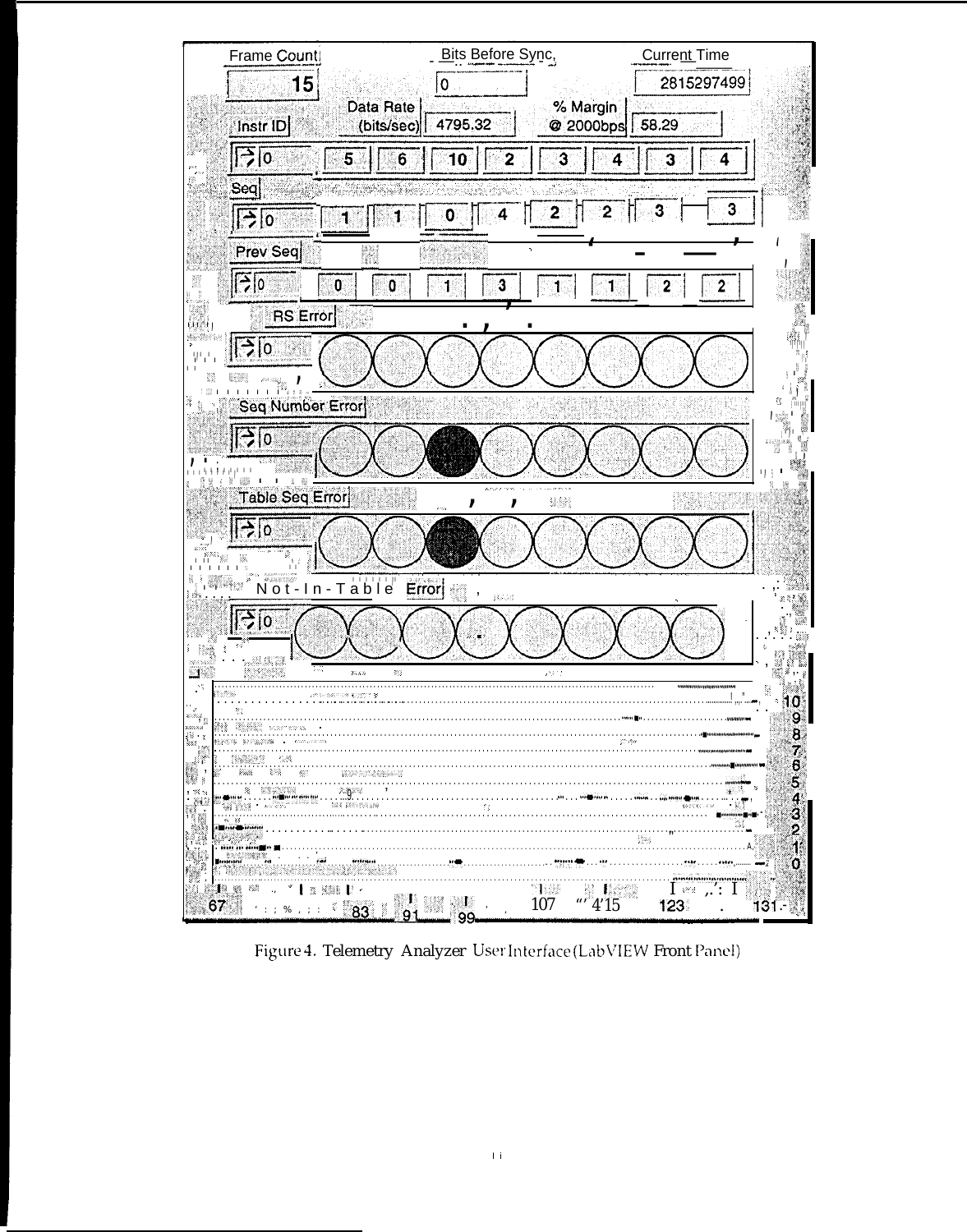

Figure 4. Telemetry Analyzer User Interface (LabVIEW Front Panel)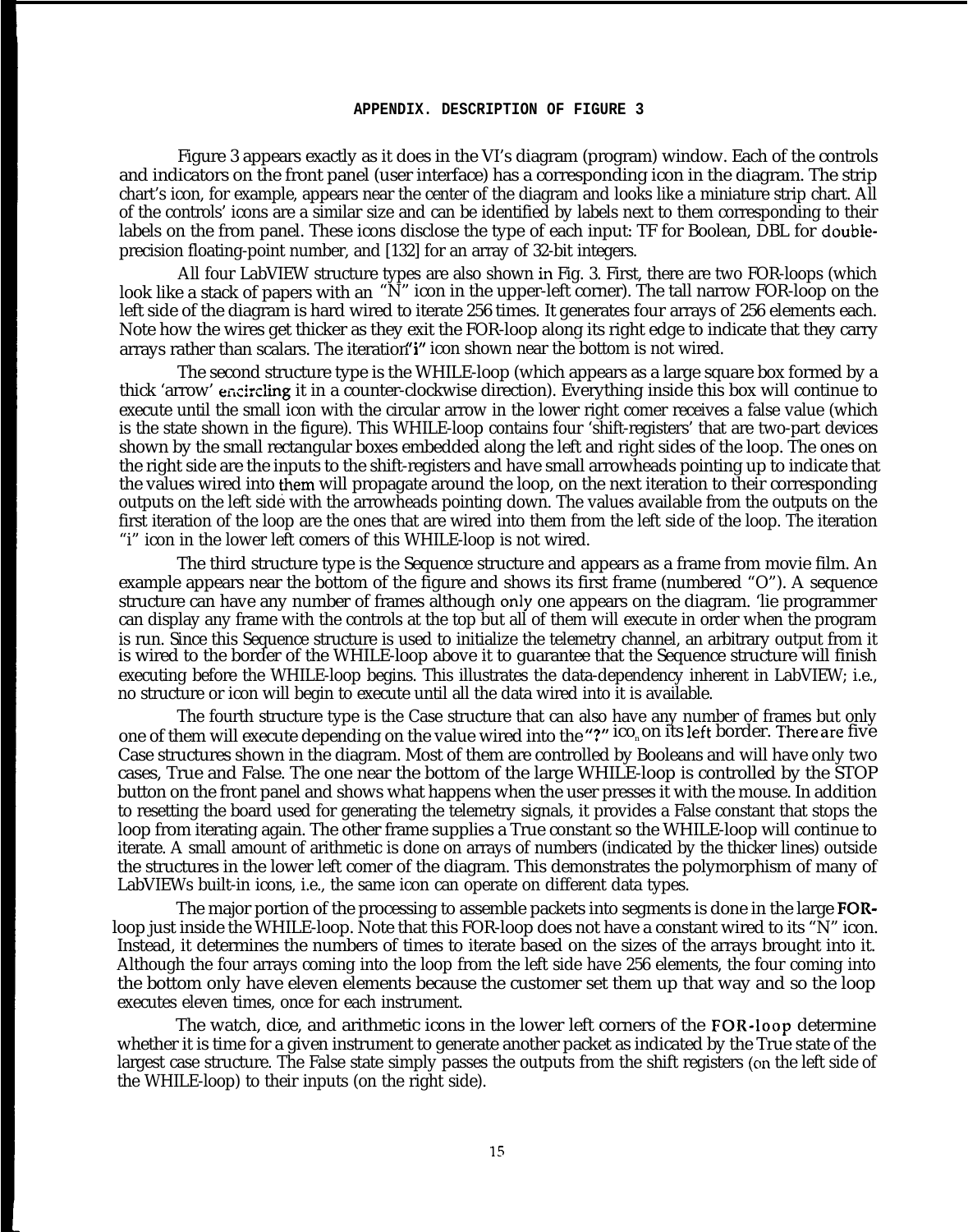#### **APPENDIX. DESCRIPTION OF FIGURE 3**

Figure 3 appears exactly as it does in the VI's diagram (program) window. Each of the controls and indicators on the front panel (user interface) has a corresponding icon in the diagram. The strip chart's icon, for example, appears near the center of the diagram and looks like a miniature strip chart. All of the controls' icons are a similar size and can be identified by labels next to them corresponding to their labels on the from panel. These icons disclose the type of each input: TF for Boolean, DBL for doubleprecision floating-point number, and [132] for an array of 32-bit integers.

All four LabVIEW structure types are also shown in Fig. 3. First, there are two FOR-loops (which look like a stack of papers with an "N" icon in the upper-left corner). The tall narrow FOR-loop on the left side of the diagram is hard wired to iterate 256 times. It generates four arrays of 256 elements each. Note how the wires get thicker as they exit the FOR-loop along its right edge to indicate that they carry arrays rather than scalars. The iteration "i" icon shown near the bottom is not wired.

The second structure type is the WHILE-loop (which appears as a large square box formed by a thick 'arrow' encircling it in a counter-clockwise direction). Everything inside this box will continue to execute until the small icon with the circular arrow in the lower right comer receives a false value (which is the state shown in the figure). This WHILE-loop contains four 'shift-registers' that are two-part devices shown by the small rectangular boxes embedded along the left and right sides of the loop. The ones on the right side are the inputs to the shift-registers and have small arrowheads pointing up to indicate that the values wired into them will propagate around the loop, on the next iteration to their corresponding outputs on the left side with the arrowheads pointing down. The values available from the outputs on the first iteration of the loop are the ones that are wired into them from the left side of the loop. The iteration "i" icon in the lower left comers of this WHILE-loop is not wired.

The third structure type is the Sequence structure and appears as a frame from movie film. An example appears near the bottom of the figure and shows its first frame (numbered "O"). A sequence structure can have any number of frames although only one appears on the diagram. 'lie programmer can display any frame with the controls at the top but all of them will execute in order when the program is run. Since this Sequence structure is used to initialize the telemetry channel, an arbitrary output from it is wired to the border of the WHILE-loop above it to guarantee that the Sequence structure will finish executing before the WHILE-loop begins. This illustrates the data-dependency inherent in LabVIEW; i.e., no structure or icon will begin to execute until all the data wired into it is available.

The fourth structure type is the Case structure that can also have any number of frames but only one of them will execute depending on the value wired into the "?" ico<sub>n</sub>on its left border. There are five Case structures shown in the diagram. Most of them are controlled by Booleans and will have only two cases, True and False. The one near the bottom of the large WHILE-loop is controlled by the STOP button on the front panel and shows what happens when the user presses it with the mouse. In addition to resetting the board used for generating the telemetry signals, it provides a False constant that stops the loop from iterating again. The other frame supplies a True constant so the WHILE-loop will continue to iterate. A small amount of arithmetic is done on arrays of numbers (indicated by the thicker lines) outside the structures in the lower left comer of the diagram. This demonstrates the polymorphism of many of LabVIEWs built-in icons, i.e., the same icon can operate on different data types.

The major portion of the processing to assemble packets into segments is done in the large FORloop just inside the WHILE-loop. Note that this FOR-loop does not have a constant wired to its "N" icon. Instead, it determines the numbers of times to iterate based on the sizes of the arrays brought into it. Although the four arrays coming into the loop from the left side have 256 elements, the four coming into the bottom only have eleven elements because the customer set them up that way and so the loop executes eleven times, once for each instrument.

The watch, dice, and arithmetic icons in the lower left corners of the FOR-Ioop determine whether it is time for a given instrument to generate another packet as indicated by the True state of the largest case structure. The False state simply passes the outputs from the shift registers (cm the left side of the WHILE-loop) to their inputs (on the right side).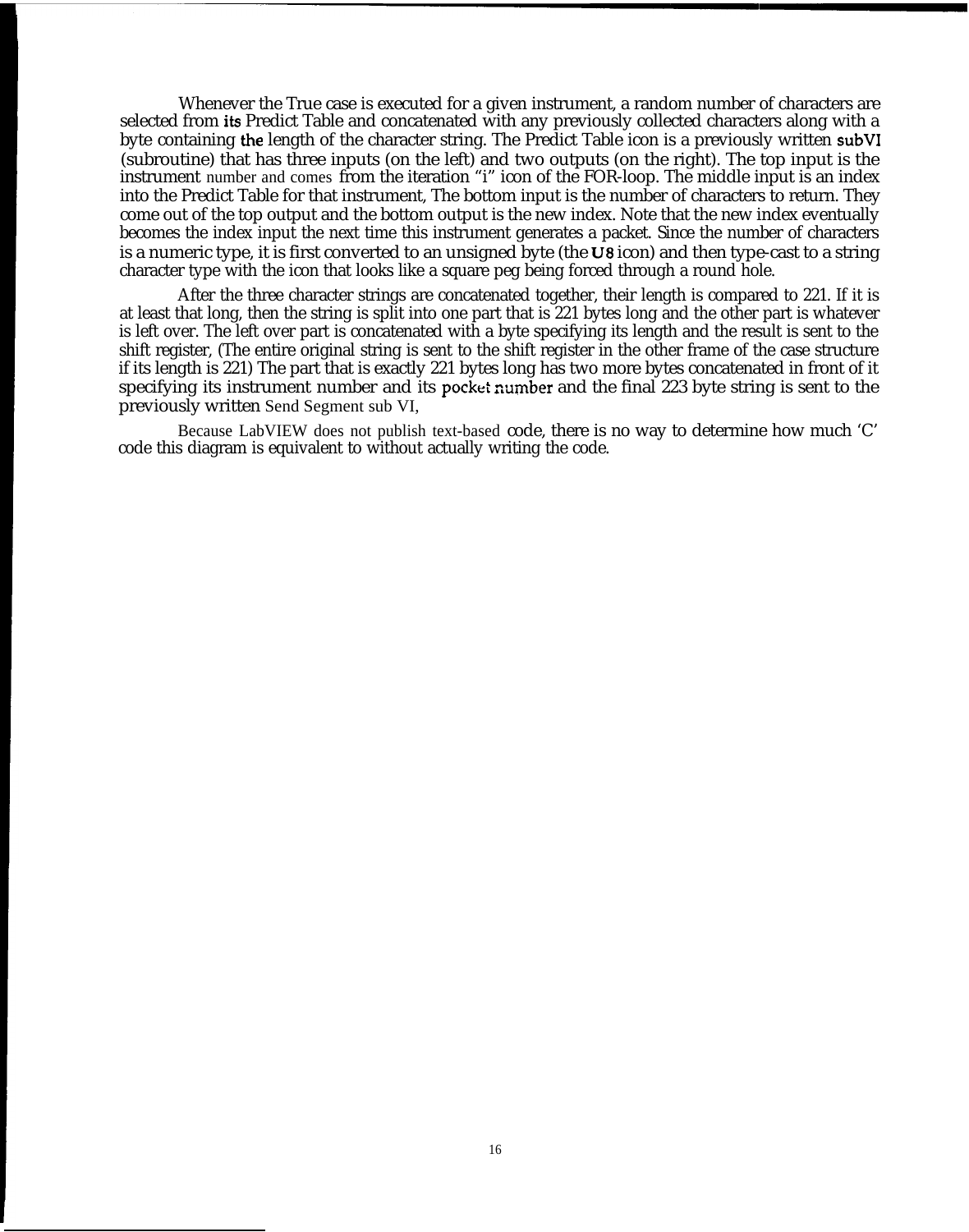Whenever the True case is executed for a given instrument, a random number of characters are selected from its Predict Table and concatenated with any previously collected characters along with a byte containing the length of the character string. The Predict Table icon is a previously written subVI (subroutine) that has three inputs (on the left) and two outputs (on the right). The top input is the instrument number and comes from the iteration "i" icon of the FOR-loop. The middle input is an index into the Predict Table for that instrument, The bottom input is the number of characters to return. They come out of the top output and the bottom output is the new index. Note that the new index eventually becomes the index input the next time this instrument generates a packet. Since the number of characters is a numeric type, it is first converted to an unsigned byte (the U8 icon) and then type-cast to a string character type with the icon that looks like a square peg being forced through a round hole.

After the three character strings are concatenated together, their length is compared to 221. If it is at least that long, then the string is split into one part that is 221 bytes long and the other part is whatever is left over. The left over part is concatenated with a byte specifying its length and the result is sent to the shift register, (The entire original string is sent to the shift register in the other frame of the case structure if its length is 221) The part that is exactly 221 bytes long has two more bytes concatenated in front of it specifying its instrument number and its pocket number and the final 223 byte string is sent to the previously written Send Segment sub VI,

Because LabVIEW does not publish text-based code, there is no way to determine how much 'C' code this diagram is equivalent to without actually writing the code.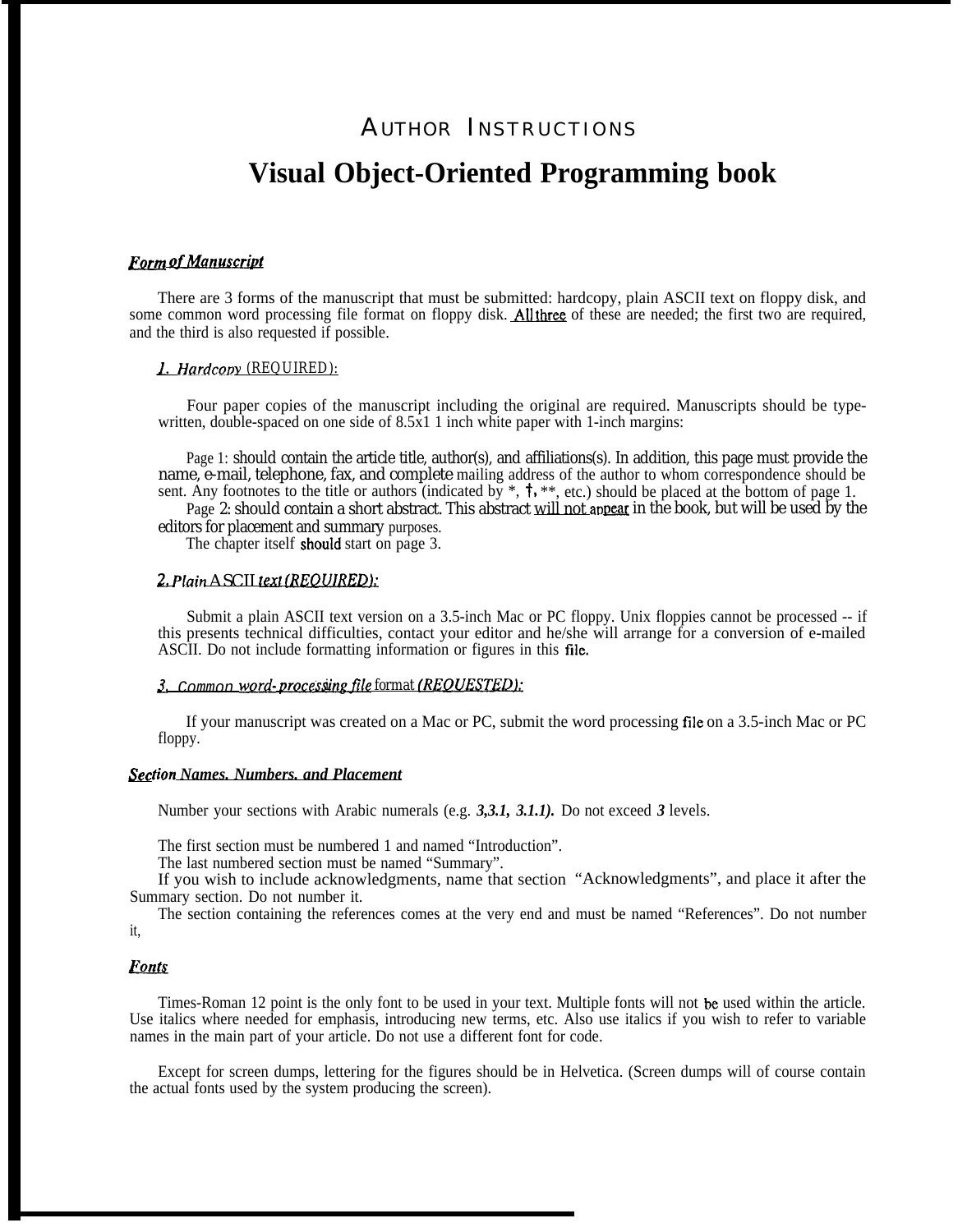# AUTHOR INSTRUCTIONS **Visual Object-Oriented Programming book**

## **Form of Manuscript**

There are 3 forms of the manuscript that must be submitted: hardcopy, plain ASCII text on floppy disk, and some common word processing file format on floppy disk. All three of these are needed; the first two are required, and the third is also requested if possible.

## *1. Hardcov Y (REQUIRED):*

Four paper copies of the manuscript including the original are required. Manuscripts should be typewritten, double-spaced on one side of  $8.5x11$  inch white paper with 1-inch margins:

Page 1: should contain the article title, author(s), and affiliations(s). In addition, this page must provide the name, e-mail, telephone, fax, and complete mailing address of the author to whom correspondence should be sent. Any footnotes to the title or authors (indicated by  $*, \dagger, **$ , etc.) should be placed at the bottom of page 1.

Page 2: should contain a short abstract. This abstract <u>will not appear</u> in the book, but will be used by the editors for placement and summary purposes.

The chapter itself should start on page 3.

## *2 Plain* ASCII text (REOUIREDL

Submit a plain ASCII text version on a 3.5-inch Mac or PC floppy. Unix floppies cannot be processed -- if this presents technical difficulties, contact your editor and he/she will arrange for a conversion of e-mailed ASCII. Do not include formatting information or figures in this file.

#### 3. Common word-processing file format (REQUESTED):

If your manuscript was created on a Mac or PC, submit the word processing file on a 3.5-inch Mac or PC floppy.

## Sec*tion Names. Numbers. and Placement*

Number your sections with Arabic numerals (e.g. *3,3.1, 3.1.1).* Do not exceed *3* levels.

The first section must be numbered 1 and named "Introduction".

The last numbered section must be named "Summary".

If you wish to include acknowledgments, name that section "Acknowledgments", and place it after the Summary section. Do not number it.

The section containing the references comes at the very end and must be named "References". Do not number it,

#### **Fonts**

Times-Roman 12 point is the only font to be used in your text. Multiple fonts will not be used within the article. Use italics where needed for emphasis, introducing new terms, etc. Also use italics if you wish to refer to variable names in the main part of your article. Do not use a different font for code.

Except for screen dumps, lettering for the figures should be in Helvetica. (Screen dumps will of course contain the actual fonts used by the system producing the screen).